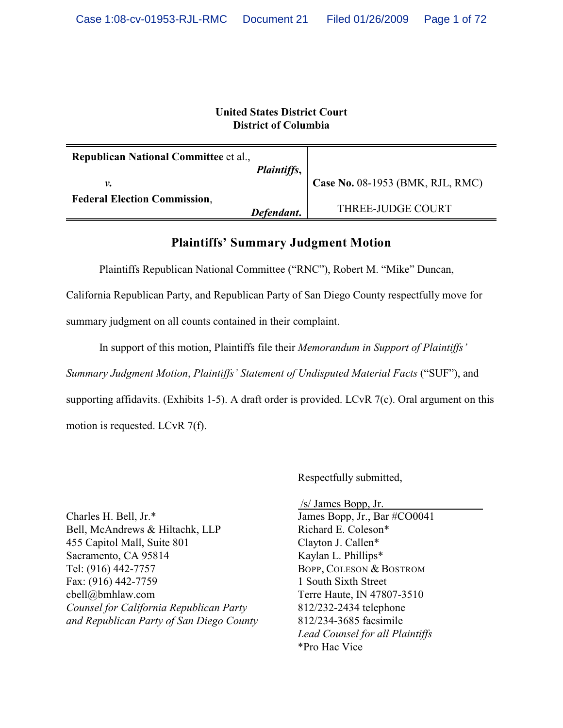# **United States District Court District of Columbia**

| <b>Republican National Committee et al.,</b> | <i>Plaintiffs,</i> |                                  |
|----------------------------------------------|--------------------|----------------------------------|
| ν.                                           |                    | Case No. 08-1953 (BMK, RJL, RMC) |
| <b>Federal Election Commission,</b>          | Defendant.         | THREE-JUDGE COURT                |

# **Plaintiffs' Summary Judgment Motion**

Plaintiffs Republican National Committee ("RNC"), Robert M. "Mike" Duncan,

California Republican Party, and Republican Party of San Diego County respectfully move for

summary judgment on all counts contained in their complaint.

In support of this motion, Plaintiffs file their *Memorandum in Support of Plaintiffs'*

*Summary Judgment Motion*, *Plaintiffs' Statement of Undisputed Material Facts* ("SUF"), and

supporting affidavits. (Exhibits 1-5). A draft order is provided. LCvR 7(c). Oral argument on this

motion is requested. LCvR 7(f).

Respectfully submitted,

Charles H. Bell, Jr.\* Bell, McAndrews & Hiltachk, LLP 455 Capitol Mall, Suite 801 Sacramento, CA 95814 Tel: (916) 442-7757 Fax: (916) 442-7759 cbell@bmhlaw.com *Counsel for California Republican Party and Republican Party of San Diego County*  /s/ James Bopp, Jr. James Bopp, Jr., Bar #CO0041 Richard E. Coleson\* Clayton J. Callen\* Kaylan L. Phillips\* BOPP, COLESON & BOSTROM 1 South Sixth Street Terre Haute, IN 47807-3510 812/232-2434 telephone 812/234-3685 facsimile *Lead Counsel for all Plaintiffs* \*Pro Hac Vice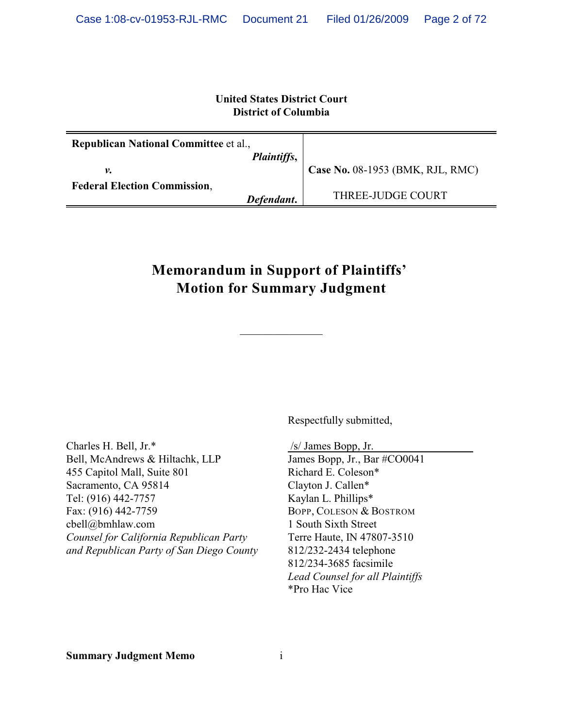# **United States District Court District of Columbia**

| <b>Republican National Committee et al.,</b> |                                  |
|----------------------------------------------|----------------------------------|
| Plaintiffs,                                  |                                  |
| ν.                                           | Case No. 08-1953 (BMK, RJL, RMC) |
| <b>Federal Election Commission,</b>          |                                  |
| Defendant.                                   | THREE-JUDGE COURT                |

# **Memorandum in Support of Plaintiffs' Motion for Summary Judgment**

Charles H. Bell, Jr.\* Bell, McAndrews & Hiltachk, LLP 455 Capitol Mall, Suite 801 Sacramento, CA 95814 Tel: (916) 442-7757 Fax: (916) 442-7759 cbell@bmhlaw.com *Counsel for California Republican Party and Republican Party of San Diego County* Respectfully submitted,

/s/ James Bopp, Jr.

James Bopp, Jr., Bar #CO0041 Richard E. Coleson\* Clayton J. Callen\* Kaylan L. Phillips\* BOPP, COLESON & BOSTROM 1 South Sixth Street Terre Haute, IN 47807-3510 812/232-2434 telephone 812/234-3685 facsimile *Lead Counsel for all Plaintiffs* \*Pro Hac Vice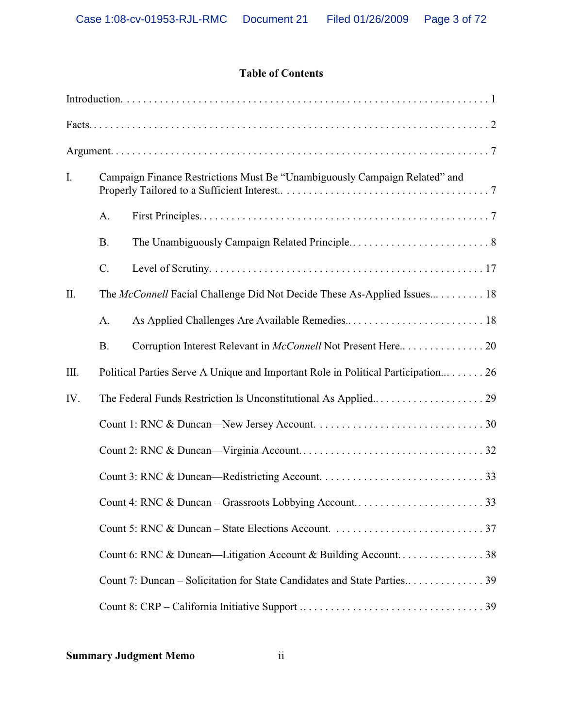# **Table of Contents**

| I.  |           | Campaign Finance Restrictions Must Be "Unambiguously Campaign Related" and       |  |
|-----|-----------|----------------------------------------------------------------------------------|--|
|     | A.        |                                                                                  |  |
|     | <b>B.</b> |                                                                                  |  |
|     | $C$ .     |                                                                                  |  |
| Π.  |           | The McConnell Facial Challenge Did Not Decide These As-Applied Issues 18         |  |
|     | A.        |                                                                                  |  |
|     | <b>B.</b> | Corruption Interest Relevant in McConnell Not Present Here20                     |  |
| Ш.  |           | Political Parties Serve A Unique and Important Role in Political Participation26 |  |
| IV. |           |                                                                                  |  |
|     |           |                                                                                  |  |
|     |           |                                                                                  |  |
|     |           |                                                                                  |  |
|     |           |                                                                                  |  |
|     |           |                                                                                  |  |
|     |           |                                                                                  |  |
|     |           |                                                                                  |  |
|     |           |                                                                                  |  |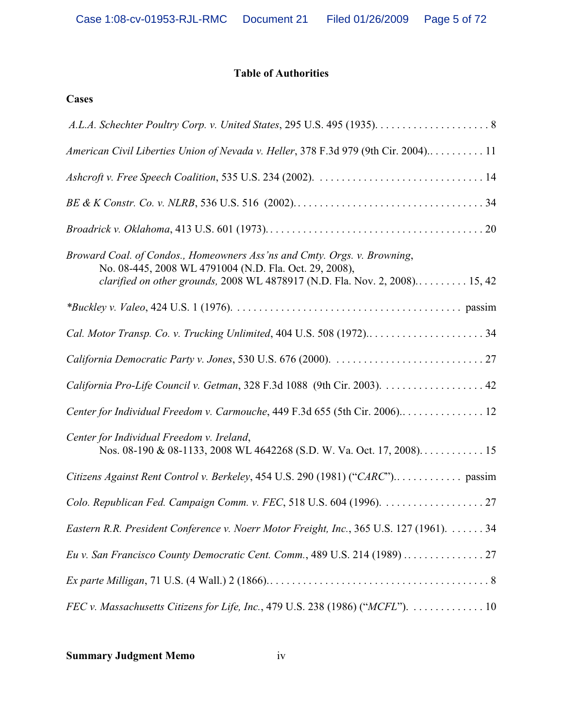# **Table of Authorities**

# **Cases**

| American Civil Liberties Union of Nevada v. Heller, 378 F.3d 979 (9th Cir. 2004) 11                                                                                                                               |
|-------------------------------------------------------------------------------------------------------------------------------------------------------------------------------------------------------------------|
|                                                                                                                                                                                                                   |
|                                                                                                                                                                                                                   |
|                                                                                                                                                                                                                   |
| Broward Coal. of Condos., Homeowners Ass'ns and Cmty. Orgs. v. Browning,<br>No. 08-445, 2008 WL 4791004 (N.D. Fla. Oct. 29, 2008),<br>clarified on other grounds, 2008 WL 4878917 (N.D. Fla. Nov. 2, 2008) 15, 42 |
|                                                                                                                                                                                                                   |
| Cal. Motor Transp. Co. v. Trucking Unlimited, 404 U.S. 508 (1972)34                                                                                                                                               |
|                                                                                                                                                                                                                   |
|                                                                                                                                                                                                                   |
| Center for Individual Freedom v. Carmouche, 449 F.3d 655 (5th Cir. 2006)12                                                                                                                                        |
| Center for Individual Freedom v. Ireland,                                                                                                                                                                         |
|                                                                                                                                                                                                                   |
|                                                                                                                                                                                                                   |
| Eastern R.R. President Conference v. Noerr Motor Freight, Inc., 365 U.S. 127 (1961). 34                                                                                                                           |
|                                                                                                                                                                                                                   |
|                                                                                                                                                                                                                   |
| FEC v. Massachusetts Citizens for Life, Inc., 479 U.S. 238 (1986) ("MCFL").  10                                                                                                                                   |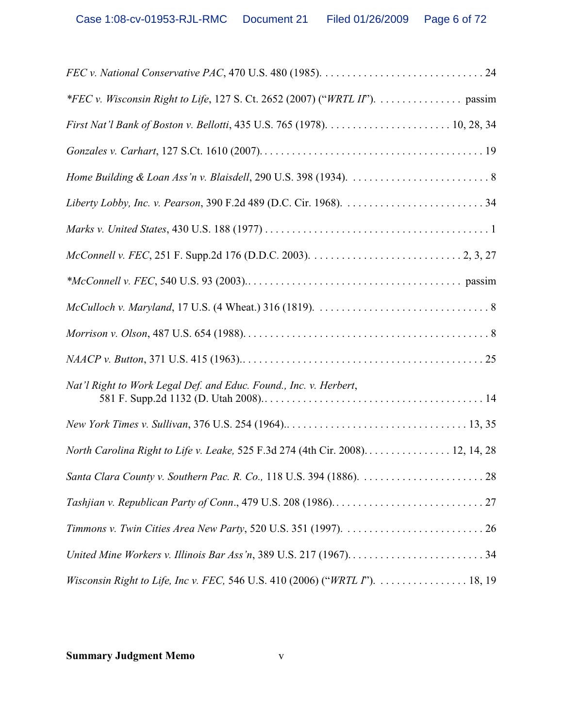| *FEC v. Wisconsin Right to Life, 127 S. Ct. 2652 (2007) ("WRTL II"). passim     |
|---------------------------------------------------------------------------------|
|                                                                                 |
|                                                                                 |
|                                                                                 |
|                                                                                 |
|                                                                                 |
|                                                                                 |
|                                                                                 |
|                                                                                 |
|                                                                                 |
|                                                                                 |
| Nat'l Right to Work Legal Def. and Educ. Found., Inc. v. Herbert,               |
|                                                                                 |
| North Carolina Right to Life v. Leake, 525 F.3d 274 (4th Cir. 2008). 12, 14, 28 |
|                                                                                 |
|                                                                                 |
|                                                                                 |
| United Mine Workers v. Illinois Bar Ass'n, 389 U.S. 217 (1967)34                |
| Wisconsin Right to Life, Inc v. FEC, 546 U.S. 410 (2006) ("WRTL I").  18, 19    |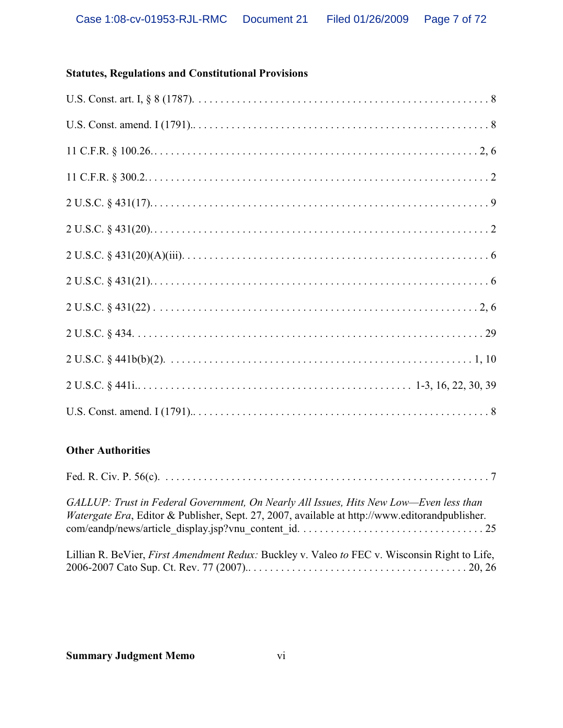# **Statutes, Regulations and Constitutional Provisions**

# **Other Authorities**

| GALLUP: Trust in Federal Government, On Nearly All Issues, Hits New Low-Even less than<br><i>Watergate Era</i> , Editor & Publisher, Sept. 27, 2007, available at http://www.editorandpublisher. |
|--------------------------------------------------------------------------------------------------------------------------------------------------------------------------------------------------|
| Lillian R. BeVier, <i>First Amendment Redux:</i> Buckley v. Valeo to FEC v. Wisconsin Right to Life,                                                                                             |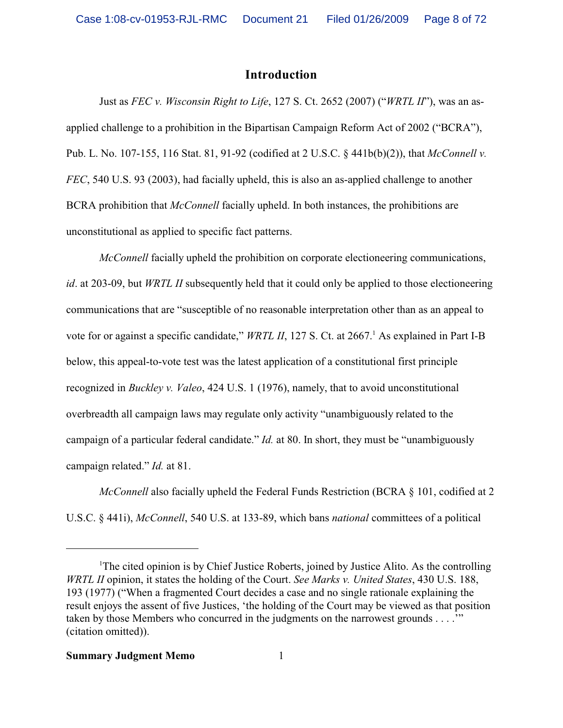# **Introduction**

Just as *FEC v. Wisconsin Right to Life*, 127 S. Ct. 2652 (2007) ("*WRTL II*"), was an asapplied challenge to a prohibition in the Bipartisan Campaign Reform Act of 2002 ("BCRA"), Pub. L. No. 107-155, 116 Stat. 81, 91-92 (codified at 2 U.S.C. § 441b(b)(2)), that *McConnell v. FEC*, 540 U.S. 93 (2003), had facially upheld, this is also an as-applied challenge to another BCRA prohibition that *McConnell* facially upheld. In both instances, the prohibitions are unconstitutional as applied to specific fact patterns.

*McConnell* facially upheld the prohibition on corporate electioneering communications, *id*. at 203-09, but *WRTL II* subsequently held that it could only be applied to those electioneering communications that are "susceptible of no reasonable interpretation other than as an appeal to vote for or against a specific candidate," WRTL II, 127 S. Ct. at 2667.<sup>1</sup> As explained in Part I-B below, this appeal-to-vote test was the latest application of a constitutional first principle recognized in *Buckley v. Valeo*, 424 U.S. 1 (1976), namely, that to avoid unconstitutional overbreadth all campaign laws may regulate only activity "unambiguously related to the campaign of a particular federal candidate." *Id.* at 80. In short, they must be "unambiguously campaign related." *Id.* at 81.

*McConnell* also facially upheld the Federal Funds Restriction (BCRA § 101, codified at 2 U.S.C. § 441i), *McConnell*, 540 U.S. at 133-89, which bans *national* committees of a political

<sup>&</sup>lt;sup>1</sup>The cited opinion is by Chief Justice Roberts, joined by Justice Alito. As the controlling *WRTL II* opinion, it states the holding of the Court. *See Marks v. United States*, 430 U.S. 188, 193 (1977) ("When a fragmented Court decides a case and no single rationale explaining the result enjoys the assent of five Justices, 'the holding of the Court may be viewed as that position taken by those Members who concurred in the judgments on the narrowest grounds . . . .'" (citation omitted)).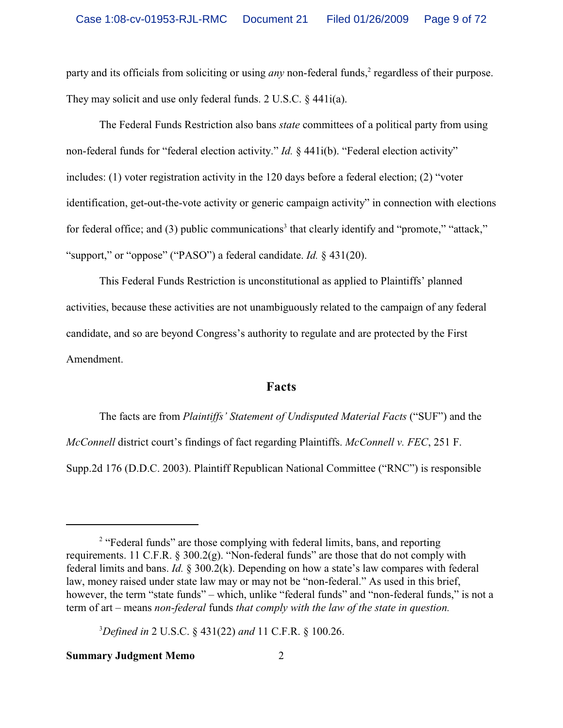party and its officials from soliciting or using *any* non-federal funds,<sup>2</sup> regardless of their purpose. They may solicit and use only federal funds. 2 U.S.C. § 441 $i$ (a).

The Federal Funds Restriction also bans *state* committees of a political party from using non-federal funds for "federal election activity." *Id.* § 441i(b). "Federal election activity" includes: (1) voter registration activity in the 120 days before a federal election; (2) "voter identification, get-out-the-vote activity or generic campaign activity" in connection with elections for federal office; and (3) public communications<sup>3</sup> that clearly identify and "promote," "attack," "support," or "oppose" ("PASO") a federal candidate. *Id.* § 431(20).

This Federal Funds Restriction is unconstitutional as applied to Plaintiffs' planned activities, because these activities are not unambiguously related to the campaign of any federal candidate, and so are beyond Congress's authority to regulate and are protected by the First Amendment.

# **Facts**

The facts are from *Plaintiffs' Statement of Undisputed Material Facts* ("SUF") and the *McConnell* district court's findings of fact regarding Plaintiffs. *McConnell v. FEC*, 251 F. Supp.2d 176 (D.D.C. 2003). Plaintiff Republican National Committee ("RNC") is responsible

<sup>&</sup>lt;sup>2</sup> "Federal funds" are those complying with federal limits, bans, and reporting requirements. 11 C.F.R. § 300.2(g). "Non-federal funds" are those that do not comply with federal limits and bans. *Id.* § 300.2(k). Depending on how a state's law compares with federal law, money raised under state law may or may not be "non-federal." As used in this brief, however, the term "state funds" – which, unlike "federal funds" and "non-federal funds," is not a term of art – means *non-federal* funds *that comply with the law of the state in question.*

<sup>3</sup>*Defined in* 2 U.S.C. § 431(22) *and* 11 C.F.R. § 100.26.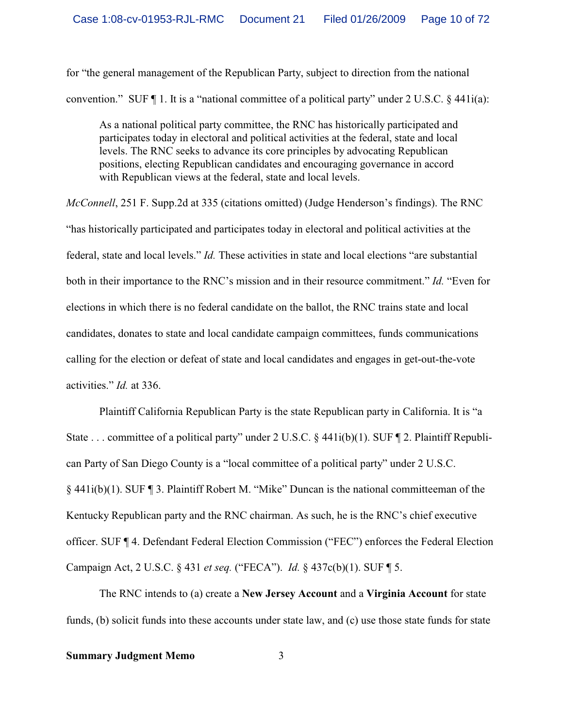for "the general management of the Republican Party, subject to direction from the national convention." SUF  $\P$  1. It is a "national committee of a political party" under 2 U.S.C. § 441 $i$ (a):

As a national political party committee, the RNC has historically participated and participates today in electoral and political activities at the federal, state and local levels. The RNC seeks to advance its core principles by advocating Republican positions, electing Republican candidates and encouraging governance in accord with Republican views at the federal, state and local levels.

*McConnell*, 251 F. Supp.2d at 335 (citations omitted) (Judge Henderson's findings). The RNC "has historically participated and participates today in electoral and political activities at the federal, state and local levels." *Id.* These activities in state and local elections "are substantial both in their importance to the RNC's mission and in their resource commitment." *Id.* "Even for elections in which there is no federal candidate on the ballot, the RNC trains state and local candidates, donates to state and local candidate campaign committees, funds communications calling for the election or defeat of state and local candidates and engages in get-out-the-vote activities." *Id.* at 336.

Plaintiff California Republican Party is the state Republican party in California. It is "a State . . . committee of a political party" under 2 U.S.C. § 441i(b)(1). SUF ¶ 2. Plaintiff Republican Party of San Diego County is a "local committee of a political party" under 2 U.S.C. § 441i(b)(1). SUF ¶ 3. Plaintiff Robert M. "Mike" Duncan is the national committeeman of the Kentucky Republican party and the RNC chairman. As such, he is the RNC's chief executive officer. SUF ¶ 4. Defendant Federal Election Commission ("FEC") enforces the Federal Election Campaign Act, 2 U.S.C. § 431 *et seq.* ("FECA"). *Id.* § 437c(b)(1). SUF ¶ 5.

The RNC intends to (a) create a **New Jersey Account** and a **Virginia Account** for state funds, (b) solicit funds into these accounts under state law, and (c) use those state funds for state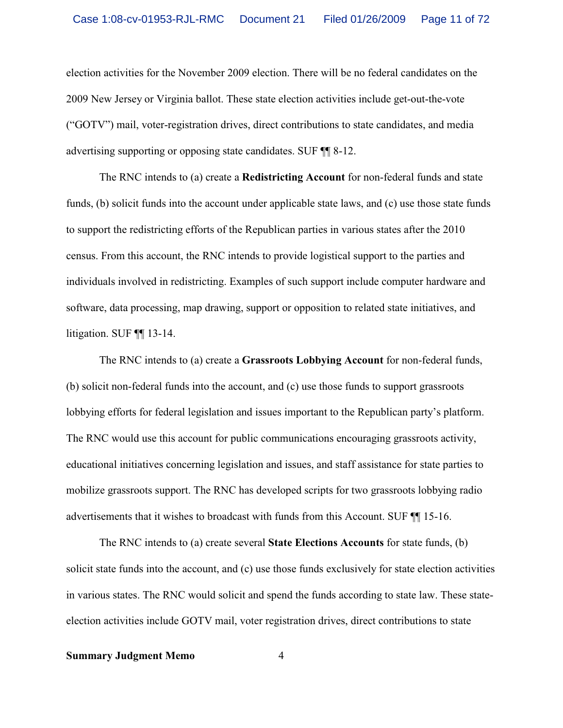election activities for the November 2009 election. There will be no federal candidates on the 2009 New Jersey or Virginia ballot. These state election activities include get-out-the-vote ("GOTV") mail, voter-registration drives, direct contributions to state candidates, and media advertising supporting or opposing state candidates. SUF ¶¶ 8-12.

The RNC intends to (a) create a **Redistricting Account** for non-federal funds and state funds, (b) solicit funds into the account under applicable state laws, and (c) use those state funds to support the redistricting efforts of the Republican parties in various states after the 2010 census. From this account, the RNC intends to provide logistical support to the parties and individuals involved in redistricting. Examples of such support include computer hardware and software, data processing, map drawing, support or opposition to related state initiatives, and litigation. SUF ¶¶ 13-14.

The RNC intends to (a) create a **Grassroots Lobbying Account** for non-federal funds, (b) solicit non-federal funds into the account, and (c) use those funds to support grassroots lobbying efforts for federal legislation and issues important to the Republican party's platform. The RNC would use this account for public communications encouraging grassroots activity, educational initiatives concerning legislation and issues, and staff assistance for state parties to mobilize grassroots support. The RNC has developed scripts for two grassroots lobbying radio advertisements that it wishes to broadcast with funds from this Account. SUF ¶¶ 15-16.

The RNC intends to (a) create several **State Elections Accounts** for state funds, (b) solicit state funds into the account, and (c) use those funds exclusively for state election activities in various states. The RNC would solicit and spend the funds according to state law. These stateelection activities include GOTV mail, voter registration drives, direct contributions to state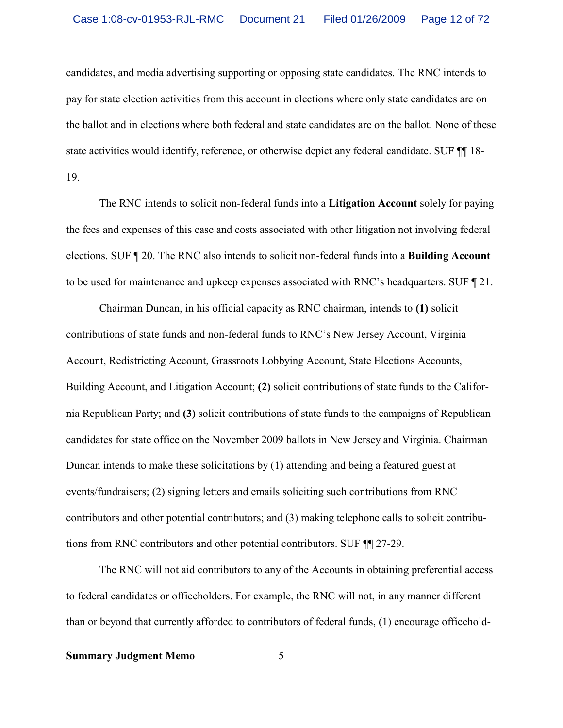candidates, and media advertising supporting or opposing state candidates. The RNC intends to pay for state election activities from this account in elections where only state candidates are on the ballot and in elections where both federal and state candidates are on the ballot. None of these state activities would identify, reference, or otherwise depict any federal candidate. SUF  $\P$  18-19.

The RNC intends to solicit non-federal funds into a **Litigation Account** solely for paying the fees and expenses of this case and costs associated with other litigation not involving federal elections. SUF ¶ 20. The RNC also intends to solicit non-federal funds into a **Building Account** to be used for maintenance and upkeep expenses associated with RNC's headquarters. SUF ¶ 21.

Chairman Duncan, in his official capacity as RNC chairman, intends to **(1)** solicit contributions of state funds and non-federal funds to RNC's New Jersey Account, Virginia Account, Redistricting Account, Grassroots Lobbying Account, State Elections Accounts, Building Account, and Litigation Account; **(2)** solicit contributions of state funds to the California Republican Party; and **(3)** solicit contributions of state funds to the campaigns of Republican candidates for state office on the November 2009 ballots in New Jersey and Virginia. Chairman Duncan intends to make these solicitations by (1) attending and being a featured guest at events/fundraisers; (2) signing letters and emails soliciting such contributions from RNC contributors and other potential contributors; and (3) making telephone calls to solicit contributions from RNC contributors and other potential contributors. SUF ¶¶ 27-29.

The RNC will not aid contributors to any of the Accounts in obtaining preferential access to federal candidates or officeholders. For example, the RNC will not, in any manner different than or beyond that currently afforded to contributors of federal funds, (1) encourage officehold-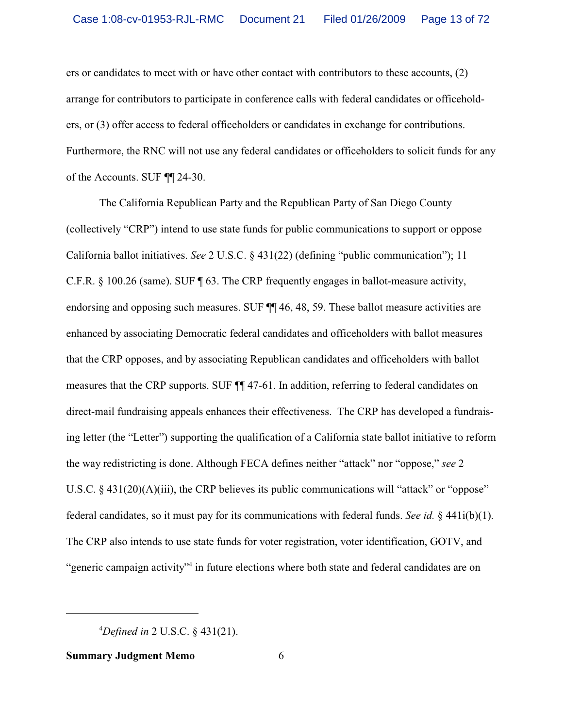ers or candidates to meet with or have other contact with contributors to these accounts, (2) arrange for contributors to participate in conference calls with federal candidates or officeholders, or (3) offer access to federal officeholders or candidates in exchange for contributions. Furthermore, the RNC will not use any federal candidates or officeholders to solicit funds for any of the Accounts. SUF ¶¶ 24-30.

The California Republican Party and the Republican Party of San Diego County (collectively "CRP") intend to use state funds for public communications to support or oppose California ballot initiatives. *See* 2 U.S.C. § 431(22) (defining "public communication"); 11 C.F.R. § 100.26 (same). SUF ¶ 63. The CRP frequently engages in ballot-measure activity, endorsing and opposing such measures. SUF ¶¶ 46, 48, 59. These ballot measure activities are enhanced by associating Democratic federal candidates and officeholders with ballot measures that the CRP opposes, and by associating Republican candidates and officeholders with ballot measures that the CRP supports. SUF ¶¶ 47-61. In addition, referring to federal candidates on direct-mail fundraising appeals enhances their effectiveness. The CRP has developed a fundraising letter (the "Letter") supporting the qualification of a California state ballot initiative to reform the way redistricting is done. Although FECA defines neither "attack" nor "oppose," *see* 2 U.S.C. § 431(20)(A)(iii), the CRP believes its public communications will "attack" or "oppose" federal candidates, so it must pay for its communications with federal funds. *See id.* § 441i(b)(1). The CRP also intends to use state funds for voter registration, voter identification, GOTV, and "generic campaign activity"<sup>4</sup> in future elections where both state and federal candidates are on

<sup>4</sup>*Defined in* 2 U.S.C. § 431(21).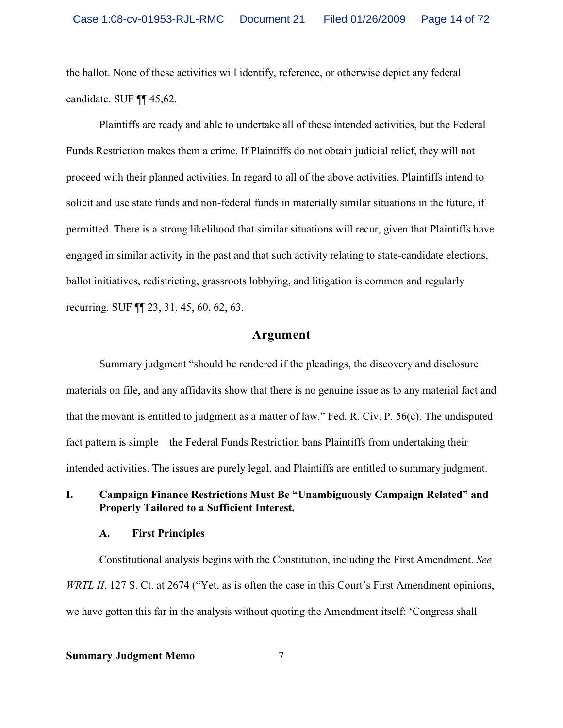the ballot. None of these activities will identify, reference, or otherwise depict any federal candidate. SUF ¶¶ 45,62.

Plaintiffs are ready and able to undertake all of these intended activities, but the Federal Funds Restriction makes them a crime. If Plaintiffs do not obtain judicial relief, they will not proceed with their planned activities. In regard to all of the above activities, Plaintiffs intend to solicit and use state funds and non-federal funds in materially similar situations in the future, if permitted. There is a strong likelihood that similar situations will recur, given that Plaintiffs have engaged in similar activity in the past and that such activity relating to state-candidate elections, ballot initiatives, redistricting, grassroots lobbying, and litigation is common and regularly recurring. SUF ¶¶ 23, 31, 45, 60, 62, 63.

# **Argument**

Summary judgment "should be rendered if the pleadings, the discovery and disclosure materials on file, and any affidavits show that there is no genuine issue as to any material fact and that the movant is entitled to judgment as a matter of law." Fed. R. Civ. P. 56(c). The undisputed fact pattern is simple—the Federal Funds Restriction bans Plaintiffs from undertaking their intended activities. The issues are purely legal, and Plaintiffs are entitled to summary judgment.

# **I. Campaign Finance Restrictions Must Be "Unambiguously Campaign Related" and Properly Tailored to a Sufficient Interest.**

#### **A. First Principles**

Constitutional analysis begins with the Constitution, including the First Amendment. *See WRTL II*, 127 S. Ct. at 2674 ("Yet, as is often the case in this Court's First Amendment opinions, we have gotten this far in the analysis without quoting the Amendment itself: 'Congress shall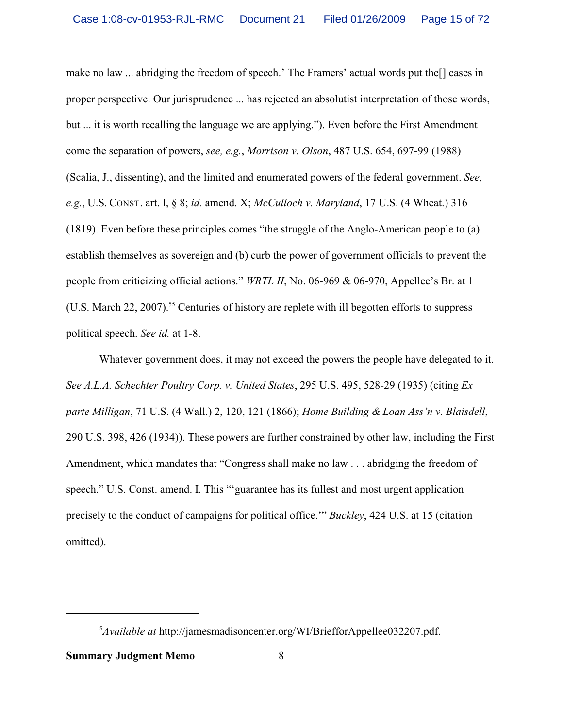make no law ... abridging the freedom of speech.' The Framers' actual words put the[] cases in proper perspective. Our jurisprudence ... has rejected an absolutist interpretation of those words, but ... it is worth recalling the language we are applying."). Even before the First Amendment come the separation of powers, *see, e.g.*, *Morrison v. Olson*, 487 U.S. 654, 697-99 (1988) (Scalia, J., dissenting), and the limited and enumerated powers of the federal government. *See, e.g.*, U.S. CONST. art. I, § 8; *id.* amend. X; *McCulloch v. Maryland*, 17 U.S. (4 Wheat.) 316 (1819). Even before these principles comes "the struggle of the Anglo-American people to (a) establish themselves as sovereign and (b) curb the power of government officials to prevent the people from criticizing official actions." *WRTL II*, No. 06-969 & 06-970, Appellee's Br. at 1 (U.S. March 22, 2007).<sup>55</sup> Centuries of history are replete with ill begotten efforts to suppress political speech. *See id.* at 1-8.

Whatever government does, it may not exceed the powers the people have delegated to it. *See A.L.A. Schechter Poultry Corp. v. United States*, 295 U.S. 495, 528-29 (1935) (citing *Ex parte Milligan*, 71 U.S. (4 Wall.) 2, 120, 121 (1866); *Home Building & Loan Ass'n v. Blaisdell*, 290 U.S. 398, 426 (1934)). These powers are further constrained by other law, including the First Amendment, which mandates that "Congress shall make no law . . . abridging the freedom of speech." U.S. Const. amend. I. This ""guarantee has its fullest and most urgent application precisely to the conduct of campaigns for political office.'" *Buckley*, 424 U.S. at 15 (citation omitted).

<sup>5</sup>*Available at* http://jamesmadisoncenter.org/WI/BriefforAppellee032207.pdf.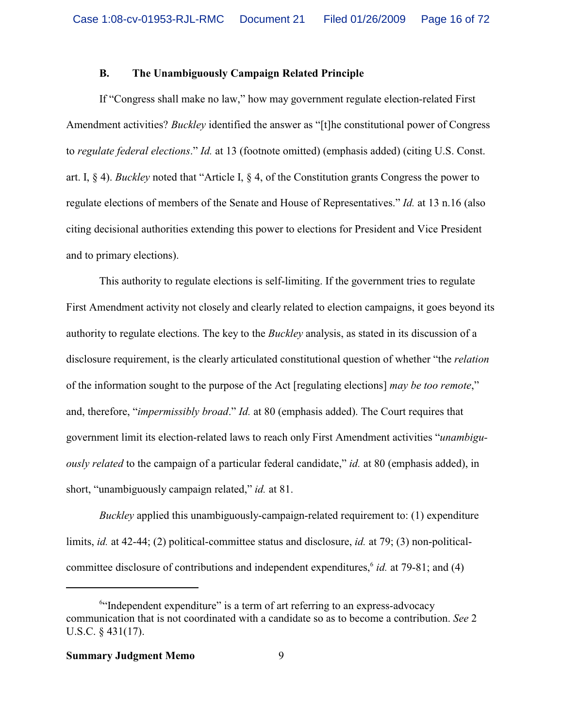# **B. The Unambiguously Campaign Related Principle**

If "Congress shall make no law," how may government regulate election-related First Amendment activities? *Buckley* identified the answer as "[t]he constitutional power of Congress to *regulate federal elections*." *Id.* at 13 (footnote omitted) (emphasis added) (citing U.S. Const. art. I, § 4). *Buckley* noted that "Article I, § 4, of the Constitution grants Congress the power to regulate elections of members of the Senate and House of Representatives." *Id.* at 13 n.16 (also citing decisional authorities extending this power to elections for President and Vice President and to primary elections).

This authority to regulate elections is self-limiting. If the government tries to regulate First Amendment activity not closely and clearly related to election campaigns, it goes beyond its authority to regulate elections. The key to the *Buckley* analysis, as stated in its discussion of a disclosure requirement, is the clearly articulated constitutional question of whether "the *relation* of the information sought to the purpose of the Act [regulating elections] *may be too remote*," and, therefore, "*impermissibly broad*." *Id.* at 80 (emphasis added). The Court requires that government limit its election-related laws to reach only First Amendment activities "*unambiguously related* to the campaign of a particular federal candidate," *id.* at 80 (emphasis added), in short, "unambiguously campaign related," *id.* at 81.

*Buckley* applied this unambiguously-campaign-related requirement to: (1) expenditure limits, *id.* at 42-44; (2) political-committee status and disclosure, *id.* at 79; (3) non-politicalcommittee disclosure of contributions and independent expenditures,<sup>6</sup> id. at 79-81; and (4)

<sup>&</sup>lt;sup>6"</sup>Independent expenditure" is a term of art referring to an express-advocacy communication that is not coordinated with a candidate so as to become a contribution. *See* 2 U.S.C. § 431(17).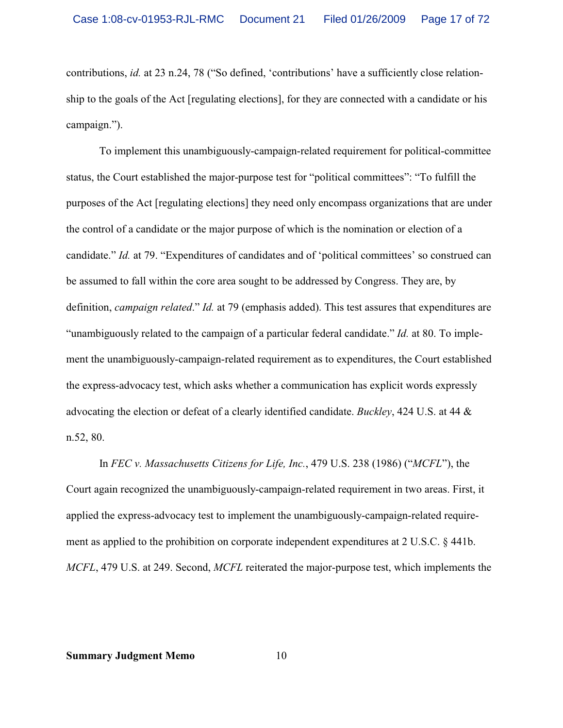contributions, *id.* at 23 n.24, 78 ("So defined, 'contributions' have a sufficiently close relationship to the goals of the Act [regulating elections], for they are connected with a candidate or his campaign.").

To implement this unambiguously-campaign-related requirement for political-committee status, the Court established the major-purpose test for "political committees": "To fulfill the purposes of the Act [regulating elections] they need only encompass organizations that are under the control of a candidate or the major purpose of which is the nomination or election of a candidate." *Id.* at 79. "Expenditures of candidates and of 'political committees' so construed can be assumed to fall within the core area sought to be addressed by Congress. They are, by definition, *campaign related*." *Id.* at 79 (emphasis added). This test assures that expenditures are "unambiguously related to the campaign of a particular federal candidate." *Id.* at 80. To implement the unambiguously-campaign-related requirement as to expenditures, the Court established the express-advocacy test, which asks whether a communication has explicit words expressly advocating the election or defeat of a clearly identified candidate. *Buckley*, 424 U.S. at 44 & n.52, 80.

In *FEC v. Massachusetts Citizens for Life, Inc.*, 479 U.S. 238 (1986) ("*MCFL*"), the Court again recognized the unambiguously-campaign-related requirement in two areas. First, it applied the express-advocacy test to implement the unambiguously-campaign-related requirement as applied to the prohibition on corporate independent expenditures at 2 U.S.C. § 441b. *MCFL*, 479 U.S. at 249. Second, *MCFL* reiterated the major-purpose test, which implements the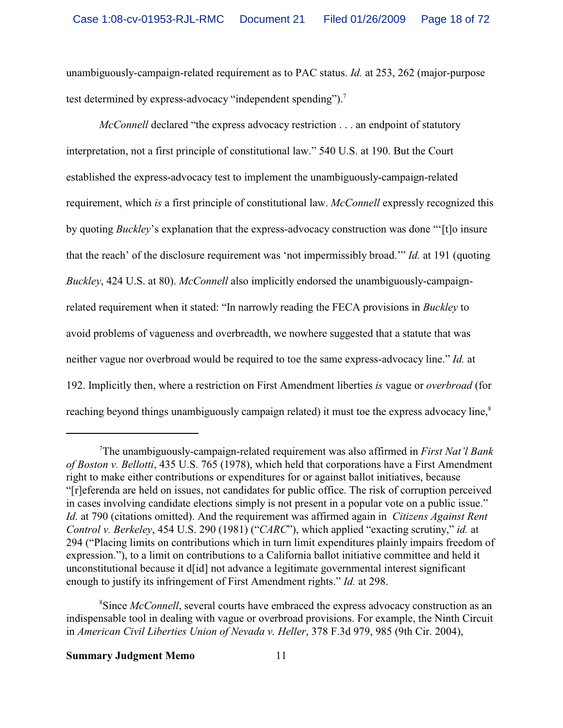unambiguously-campaign-related requirement as to PAC status. *Id.* at 253, 262 (major-purpose test determined by express-advocacy "independent spending").<sup>7</sup>

*McConnell* declared "the express advocacy restriction . . . an endpoint of statutory interpretation, not a first principle of constitutional law." 540 U.S. at 190. But the Court established the express-advocacy test to implement the unambiguously-campaign-related requirement, which *is* a first principle of constitutional law. *McConnell* expressly recognized this by quoting *Buckley*'s explanation that the express-advocacy construction was done "'[t]o insure that the reach' of the disclosure requirement was 'not impermissibly broad.'" *Id.* at 191 (quoting *Buckley*, 424 U.S. at 80). *McConnell* also implicitly endorsed the unambiguously-campaignrelated requirement when it stated: "In narrowly reading the FECA provisions in *Buckley* to avoid problems of vagueness and overbreadth, we nowhere suggested that a statute that was neither vague nor overbroad would be required to toe the same express-advocacy line." *Id.* at 192. Implicitly then, where a restriction on First Amendment liberties *is* vague or *overbroad* (for reaching beyond things unambiguously campaign related) it must toe the express advocacy line,<sup>8</sup>

<sup>7</sup>The unambiguously-campaign-related requirement was also affirmed in *First Nat'l Bank of Boston v. Bellotti*, 435 U.S. 765 (1978), which held that corporations have a First Amendment right to make either contributions or expenditures for or against ballot initiatives, because "[r]eferenda are held on issues, not candidates for public office. The risk of corruption perceived in cases involving candidate elections simply is not present in a popular vote on a public issue." *Id.* at 790 (citations omitted). And the requirement was affirmed again in *Citizens Against Rent Control v. Berkeley*, 454 U.S. 290 (1981) ("*CARC*"), which applied "exacting scrutiny," *id.* at 294 ("Placing limits on contributions which in turn limit expenditures plainly impairs freedom of expression."), to a limit on contributions to a California ballot initiative committee and held it unconstitutional because it d[id] not advance a legitimate governmental interest significant enough to justify its infringement of First Amendment rights." *Id.* at 298.

<sup>&</sup>lt;sup>8</sup>Since *McConnell*, several courts have embraced the express advocacy construction as an indispensable tool in dealing with vague or overbroad provisions. For example, the Ninth Circuit in *American Civil Liberties Union of Nevada v. Heller*, 378 F.3d 979, 985 (9th Cir. 2004),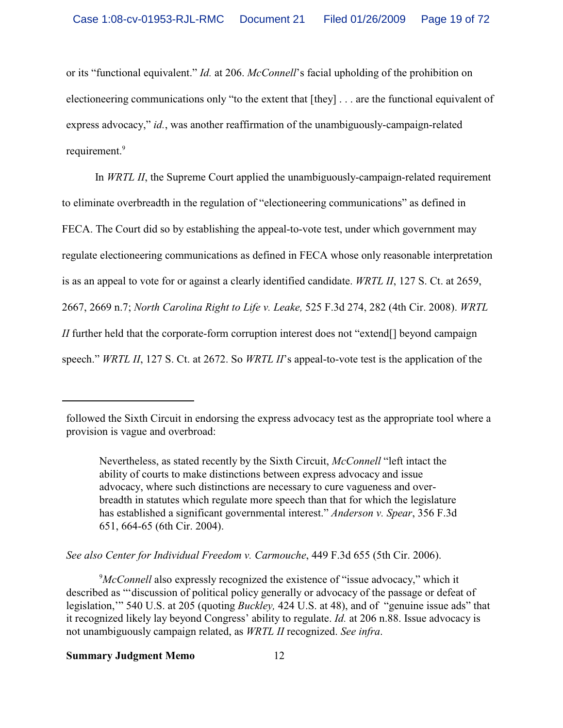or its "functional equivalent." *Id.* at 206. *McConnell*'s facial upholding of the prohibition on electioneering communications only "to the extent that [they] . . . are the functional equivalent of express advocacy," *id.*, was another reaffirmation of the unambiguously-campaign-related requirement.<sup>9</sup>

In *WRTL II*, the Supreme Court applied the unambiguously-campaign-related requirement to eliminate overbreadth in the regulation of "electioneering communications" as defined in FECA. The Court did so by establishing the appeal-to-vote test, under which government may regulate electioneering communications as defined in FECA whose only reasonable interpretation is as an appeal to vote for or against a clearly identified candidate. *WRTL II*, 127 S. Ct. at 2659, 2667, 2669 n.7; *North Carolina Right to Life v. Leake,* 525 F.3d 274, 282 (4th Cir. 2008). *WRTL II* further held that the corporate-form corruption interest does not "extend[] beyond campaign speech." *WRTL II*, 127 S. Ct. at 2672. So *WRTL II*'s appeal-to-vote test is the application of the

Nevertheless, as stated recently by the Sixth Circuit, *McConnell* "left intact the ability of courts to make distinctions between express advocacy and issue advocacy, where such distinctions are necessary to cure vagueness and overbreadth in statutes which regulate more speech than that for which the legislature has established a significant governmental interest." *Anderson v. Spear*, 356 F.3d 651, 664-65 (6th Cir. 2004).

*See also Center for Individual Freedom v. Carmouche*, 449 F.3d 655 (5th Cir. 2006).

<sup>9</sup>McConnell also expressly recognized the existence of "issue advocacy," which it described as "'discussion of political policy generally or advocacy of the passage or defeat of legislation,'" 540 U.S. at 205 (quoting *Buckley,* 424 U.S. at 48), and of "genuine issue ads" that it recognized likely lay beyond Congress' ability to regulate. *Id.* at 206 n.88. Issue advocacy is not unambiguously campaign related, as *WRTL II* recognized. *See infra*.

followed the Sixth Circuit in endorsing the express advocacy test as the appropriate tool where a provision is vague and overbroad: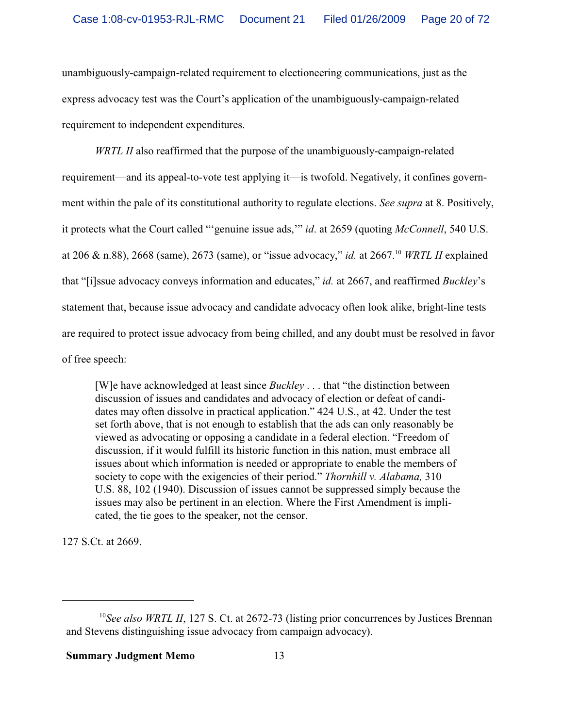unambiguously-campaign-related requirement to electioneering communications, just as the express advocacy test was the Court's application of the unambiguously-campaign-related requirement to independent expenditures.

*WRTL II* also reaffirmed that the purpose of the unambiguously-campaign-related requirement—and its appeal-to-vote test applying it—is twofold. Negatively, it confines government within the pale of its constitutional authority to regulate elections. *See supra* at 8. Positively, it protects what the Court called "'genuine issue ads,'" *id*. at 2659 (quoting *McConnell*, 540 U.S. at 206 & n.88), 2668 (same), 2673 (same), or "issue advocacy," *id.* at 2667.<sup>10</sup> *WRTL II* explained that "[i]ssue advocacy conveys information and educates," *id.* at 2667, and reaffirmed *Buckley*'s statement that, because issue advocacy and candidate advocacy often look alike, bright-line tests are required to protect issue advocacy from being chilled, and any doubt must be resolved in favor of free speech:

[W]e have acknowledged at least since *Buckley* . . . that "the distinction between discussion of issues and candidates and advocacy of election or defeat of candidates may often dissolve in practical application." 424 U.S., at 42. Under the test set forth above, that is not enough to establish that the ads can only reasonably be viewed as advocating or opposing a candidate in a federal election. "Freedom of discussion, if it would fulfill its historic function in this nation, must embrace all issues about which information is needed or appropriate to enable the members of society to cope with the exigencies of their period." *Thornhill v. Alabama,* 310 U.S. 88, 102 (1940). Discussion of issues cannot be suppressed simply because the issues may also be pertinent in an election. Where the First Amendment is implicated, the tie goes to the speaker, not the censor.

127 S.Ct. at 2669.

<sup>&</sup>lt;sup>10</sup> See also WRTL II, 127 S. Ct. at 2672-73 (listing prior concurrences by Justices Brennan and Stevens distinguishing issue advocacy from campaign advocacy).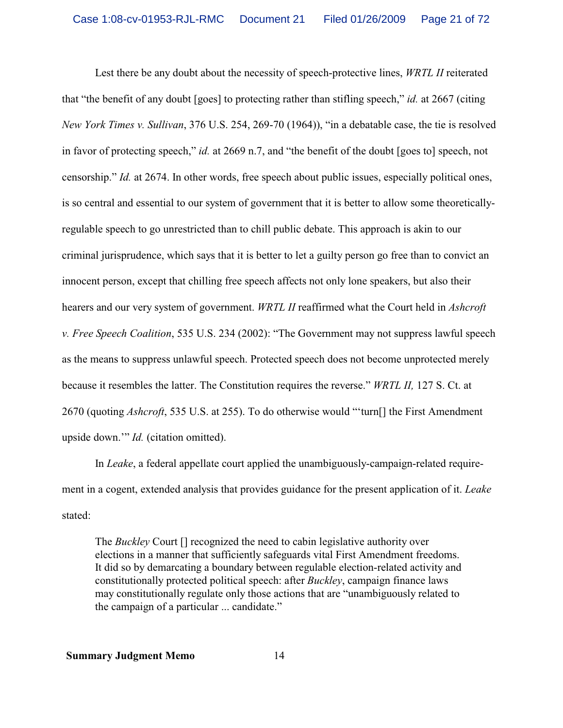Lest there be any doubt about the necessity of speech-protective lines, *WRTL II* reiterated that "the benefit of any doubt [goes] to protecting rather than stifling speech," *id.* at 2667 (citing *New York Times v. Sullivan*, 376 U.S. 254, 269-70 (1964)), "in a debatable case, the tie is resolved in favor of protecting speech," *id.* at 2669 n.7, and "the benefit of the doubt [goes to] speech, not censorship." *Id.* at 2674. In other words, free speech about public issues, especially political ones, is so central and essential to our system of government that it is better to allow some theoreticallyregulable speech to go unrestricted than to chill public debate. This approach is akin to our criminal jurisprudence, which says that it is better to let a guilty person go free than to convict an innocent person, except that chilling free speech affects not only lone speakers, but also their hearers and our very system of government. *WRTL II* reaffirmed what the Court held in *Ashcroft v. Free Speech Coalition*, 535 U.S. 234 (2002): "The Government may not suppress lawful speech as the means to suppress unlawful speech. Protected speech does not become unprotected merely because it resembles the latter. The Constitution requires the reverse." *WRTL II,* 127 S. Ct. at 2670 (quoting *Ashcroft*, 535 U.S. at 255). To do otherwise would "'turn[] the First Amendment upside down.'" *Id.* (citation omitted).

In *Leake*, a federal appellate court applied the unambiguously-campaign-related requirement in a cogent, extended analysis that provides guidance for the present application of it. *Leake* stated:

The *Buckley* Court [] recognized the need to cabin legislative authority over elections in a manner that sufficiently safeguards vital First Amendment freedoms. It did so by demarcating a boundary between regulable election-related activity and constitutionally protected political speech: after *Buckley*, campaign finance laws may constitutionally regulate only those actions that are "unambiguously related to the campaign of a particular ... candidate."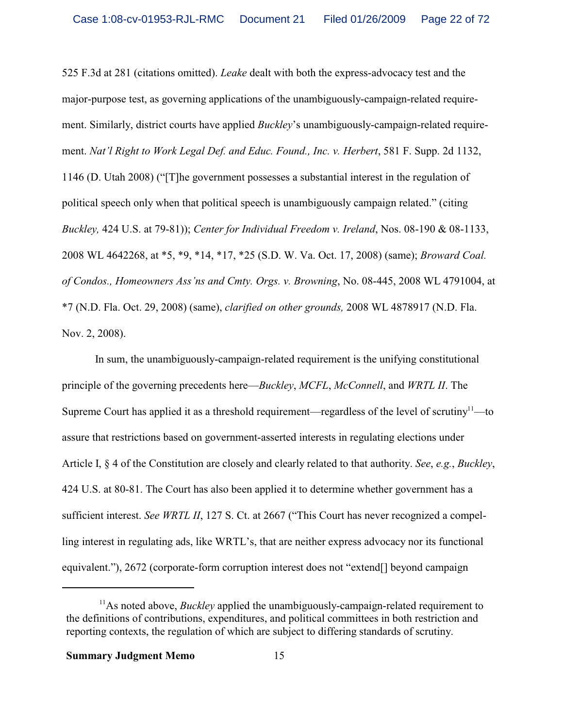525 F.3d at 281 (citations omitted). *Leake* dealt with both the express-advocacy test and the major-purpose test, as governing applications of the unambiguously-campaign-related requirement. Similarly, district courts have applied *Buckley*'s unambiguously-campaign-related requirement. *Nat'l Right to Work Legal Def. and Educ. Found., Inc. v. Herbert*, 581 F. Supp. 2d 1132, 1146 (D. Utah 2008) ("[T]he government possesses a substantial interest in the regulation of political speech only when that political speech is unambiguously campaign related." (citing *Buckley,* 424 U.S. at 79-81)); *Center for Individual Freedom v. Ireland*, Nos. 08-190 & 08-1133, 2008 WL 4642268, at \*5, \*9, \*14, \*17, \*25 (S.D. W. Va. Oct. 17, 2008) (same); *Broward Coal. of Condos., Homeowners Ass'ns and Cmty. Orgs. v. Browning*, No. 08-445, 2008 WL 4791004, at \*7 (N.D. Fla. Oct. 29, 2008) (same), *clarified on other grounds,* 2008 WL 4878917 (N.D. Fla. Nov. 2, 2008).

In sum, the unambiguously-campaign-related requirement is the unifying constitutional principle of the governing precedents here—*Buckley*, *MCFL*, *McConnell*, and *WRTL II*. The Supreme Court has applied it as a threshold requirement—regardless of the level of scrutiny<sup>11</sup>—to assure that restrictions based on government-asserted interests in regulating elections under Article I, § 4 of the Constitution are closely and clearly related to that authority. *See*, *e.g.*, *Buckley*, 424 U.S. at 80-81. The Court has also been applied it to determine whether government has a sufficient interest. *See WRTL II*, 127 S. Ct. at 2667 ("This Court has never recognized a compelling interest in regulating ads, like WRTL's, that are neither express advocacy nor its functional equivalent."), 2672 (corporate-form corruption interest does not "extend[] beyond campaign

<sup>&</sup>lt;sup>11</sup>As noted above, *Buckley* applied the unambiguously-campaign-related requirement to the definitions of contributions, expenditures, and political committees in both restriction and reporting contexts, the regulation of which are subject to differing standards of scrutiny.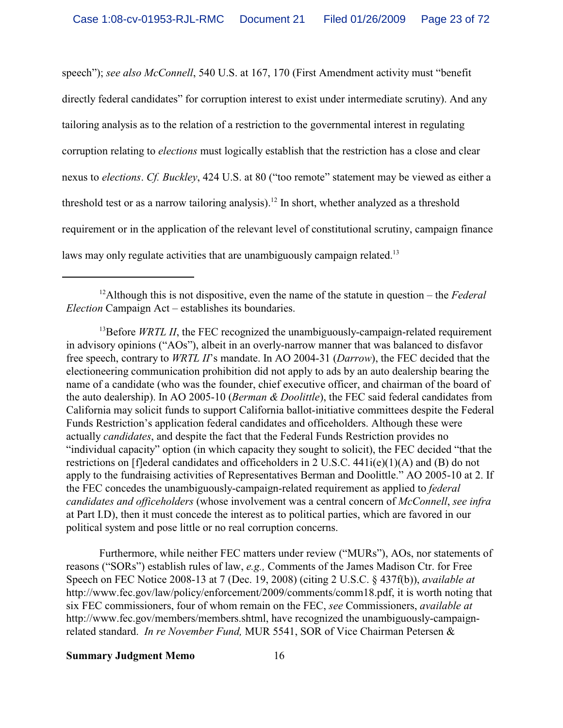speech"); *see also McConnell*, 540 U.S. at 167, 170 (First Amendment activity must "benefit directly federal candidates" for corruption interest to exist under intermediate scrutiny). And any tailoring analysis as to the relation of a restriction to the governmental interest in regulating corruption relating to *elections* must logically establish that the restriction has a close and clear nexus to *elections*. *Cf. Buckley*, 424 U.S. at 80 ("too remote" statement may be viewed as either a threshold test or as a narrow tailoring analysis).<sup>12</sup> In short, whether analyzed as a threshold requirement or in the application of the relevant level of constitutional scrutiny, campaign finance laws may only regulate activities that are unambiguously campaign related.<sup>13</sup>

<sup>13</sup>Before *WRTL II*, the FEC recognized the unambiguously-campaign-related requirement in advisory opinions ("AOs"), albeit in an overly-narrow manner that was balanced to disfavor free speech, contrary to *WRTL II*'s mandate. In AO 2004-31 (*Darrow*), the FEC decided that the electioneering communication prohibition did not apply to ads by an auto dealership bearing the name of a candidate (who was the founder, chief executive officer, and chairman of the board of the auto dealership). In AO 2005-10 (*Berman & Doolittle*), the FEC said federal candidates from California may solicit funds to support California ballot-initiative committees despite the Federal Funds Restriction's application federal candidates and officeholders. Although these were actually *candidates*, and despite the fact that the Federal Funds Restriction provides no "individual capacity" option (in which capacity they sought to solicit), the FEC decided "that the restrictions on [f]ederal candidates and officeholders in 2 U.S.C. 441i(e)(1)(A) and (B) do not apply to the fundraising activities of Representatives Berman and Doolittle." AO 2005-10 at 2. If the FEC concedes the unambiguously-campaign-related requirement as applied to *federal candidates and officeholders* (whose involvement was a central concern of *McConnell*, *see infra* at Part I.D), then it must concede the interest as to political parties, which are favored in our political system and pose little or no real corruption concerns.

Furthermore, while neither FEC matters under review ("MURs"), AOs, nor statements of reasons ("SORs") establish rules of law, *e.g.,* Comments of the James Madison Ctr. for Free Speech on FEC Notice 2008-13 at 7 (Dec. 19, 2008) (citing 2 U.S.C. § 437f(b)), *available at* http://www.fec.gov/law/policy/enforcement/2009/comments/comm18.pdf, it is worth noting that six FEC commissioners, four of whom remain on the FEC, *see* Commissioners, *available at* http://www.fec.gov/members/members.shtml, have recognized the unambiguously-campaignrelated standard. *In re November Fund,* MUR 5541, SOR of Vice Chairman Petersen &

<sup>12</sup>Although this is not dispositive, even the name of the statute in question – the *Federal Election* Campaign Act – establishes its boundaries.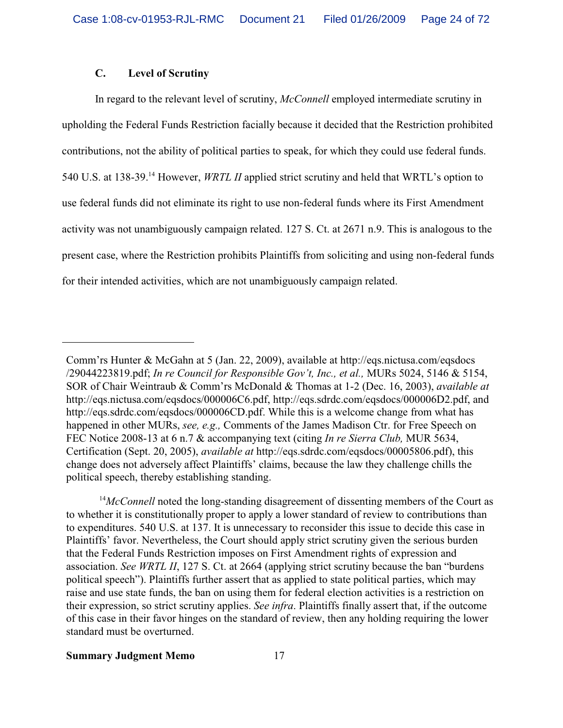# **C. Level of Scrutiny**

In regard to the relevant level of scrutiny, *McConnell* employed intermediate scrutiny in upholding the Federal Funds Restriction facially because it decided that the Restriction prohibited contributions, not the ability of political parties to speak, for which they could use federal funds. 540 U.S. at 138-39.<sup>14</sup> However, *WRTL II* applied strict scrutiny and held that WRTL's option to use federal funds did not eliminate its right to use non-federal funds where its First Amendment activity was not unambiguously campaign related. 127 S. Ct. at 2671 n.9. This is analogous to the present case, where the Restriction prohibits Plaintiffs from soliciting and using non-federal funds for their intended activities, which are not unambiguously campaign related.

Comm'rs Hunter & McGahn at 5 (Jan. 22, 2009), available at http://eqs.nictusa.com/eqsdocs /29044223819.pdf; *In re Council for Responsible Gov't, Inc., et al.,* MURs 5024, 5146 & 5154, SOR of Chair Weintraub & Comm'rs McDonald & Thomas at 1-2 (Dec. 16, 2003), *available at* http://eqs.nictusa.com/eqsdocs/000006C6.pdf, http://eqs.sdrdc.com/eqsdocs/000006D2.pdf, and http://eqs.sdrdc.com/eqsdocs/000006CD.pdf. While this is a welcome change from what has happened in other MURs, *see, e.g.,* Comments of the James Madison Ctr. for Free Speech on FEC Notice 2008-13 at 6 n.7 & accompanying text (citing *In re Sierra Club,* MUR 5634, Certification (Sept. 20, 2005), *available at* http://eqs.sdrdc.com/eqsdocs/00005806.pdf), this change does not adversely affect Plaintiffs' claims, because the law they challenge chills the political speech, thereby establishing standing.

<sup>&</sup>lt;sup>14</sup>McConnell noted the long-standing disagreement of dissenting members of the Court as to whether it is constitutionally proper to apply a lower standard of review to contributions than to expenditures. 540 U.S. at 137. It is unnecessary to reconsider this issue to decide this case in Plaintiffs' favor. Nevertheless, the Court should apply strict scrutiny given the serious burden that the Federal Funds Restriction imposes on First Amendment rights of expression and association. *See WRTL II*, 127 S. Ct. at 2664 (applying strict scrutiny because the ban "burdens political speech"). Plaintiffs further assert that as applied to state political parties, which may raise and use state funds, the ban on using them for federal election activities is a restriction on their expression, so strict scrutiny applies. *See infra*. Plaintiffs finally assert that, if the outcome of this case in their favor hinges on the standard of review, then any holding requiring the lower standard must be overturned.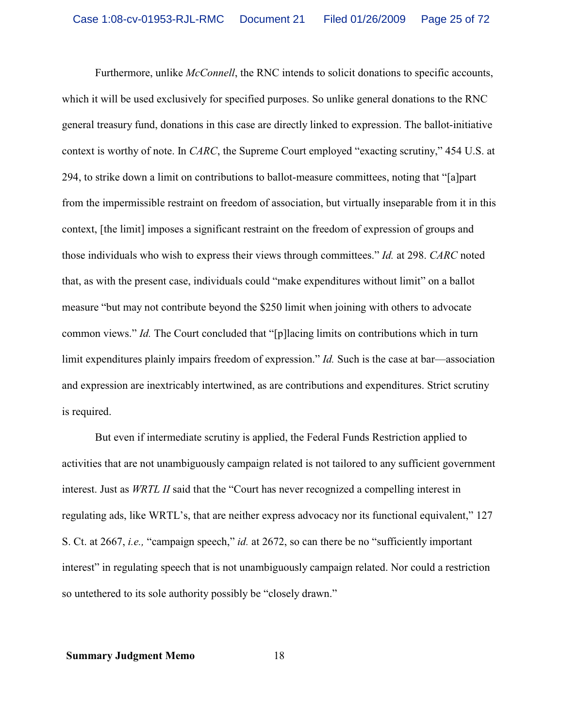Furthermore, unlike *McConnell*, the RNC intends to solicit donations to specific accounts, which it will be used exclusively for specified purposes. So unlike general donations to the RNC general treasury fund, donations in this case are directly linked to expression. The ballot-initiative context is worthy of note. In *CARC*, the Supreme Court employed "exacting scrutiny," 454 U.S. at 294, to strike down a limit on contributions to ballot-measure committees, noting that "[a]part from the impermissible restraint on freedom of association, but virtually inseparable from it in this context, [the limit] imposes a significant restraint on the freedom of expression of groups and those individuals who wish to express their views through committees." *Id.* at 298. *CARC* noted that, as with the present case, individuals could "make expenditures without limit" on a ballot measure "but may not contribute beyond the \$250 limit when joining with others to advocate common views." *Id.* The Court concluded that "[p]lacing limits on contributions which in turn limit expenditures plainly impairs freedom of expression." *Id.* Such is the case at bar—association and expression are inextricably intertwined, as are contributions and expenditures. Strict scrutiny is required.

But even if intermediate scrutiny is applied, the Federal Funds Restriction applied to activities that are not unambiguously campaign related is not tailored to any sufficient government interest. Just as *WRTL II* said that the "Court has never recognized a compelling interest in regulating ads, like WRTL's, that are neither express advocacy nor its functional equivalent," 127 S. Ct. at 2667, *i.e.,* "campaign speech," *id.* at 2672, so can there be no "sufficiently important interest" in regulating speech that is not unambiguously campaign related. Nor could a restriction so untethered to its sole authority possibly be "closely drawn."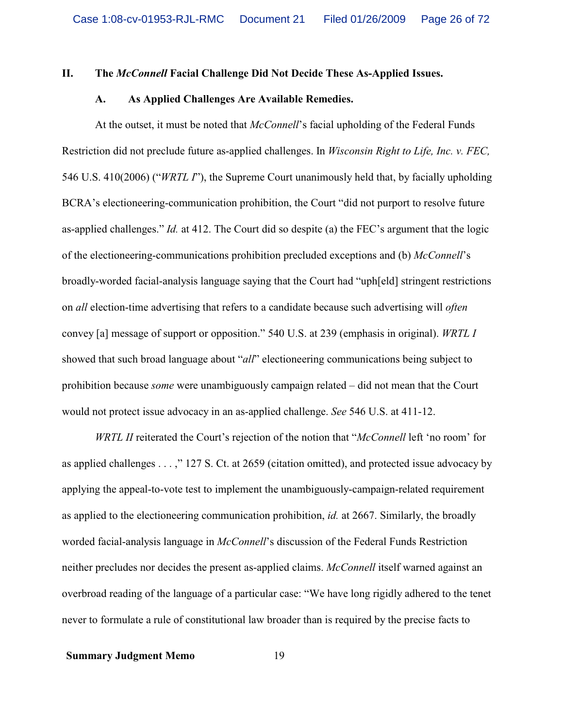# **II. The** *McConnell* **Facial Challenge Did Not Decide These As-Applied Issues.**

#### **A. As Applied Challenges Are Available Remedies.**

At the outset, it must be noted that *McConnell*'s facial upholding of the Federal Funds Restriction did not preclude future as-applied challenges. In *Wisconsin Right to Life, Inc. v. FEC,* 546 U.S. 410(2006) ("*WRTL I*"), the Supreme Court unanimously held that, by facially upholding BCRA's electioneering-communication prohibition, the Court "did not purport to resolve future as-applied challenges." *Id.* at 412. The Court did so despite (a) the FEC's argument that the logic of the electioneering-communications prohibition precluded exceptions and (b) *McConnell*'s broadly-worded facial-analysis language saying that the Court had "uph[eld] stringent restrictions on *all* election-time advertising that refers to a candidate because such advertising will *often* convey [a] message of support or opposition." 540 U.S. at 239 (emphasis in original). *WRTL I* showed that such broad language about "*all*" electioneering communications being subject to prohibition because *some* were unambiguously campaign related – did not mean that the Court would not protect issue advocacy in an as-applied challenge. *See* 546 U.S. at 411-12.

*WRTL II* reiterated the Court's rejection of the notion that "*McConnell* left 'no room' for as applied challenges . . . ," 127 S. Ct. at 2659 (citation omitted), and protected issue advocacy by applying the appeal-to-vote test to implement the unambiguously-campaign-related requirement as applied to the electioneering communication prohibition, *id.* at 2667. Similarly, the broadly worded facial-analysis language in *McConnell*'s discussion of the Federal Funds Restriction neither precludes nor decides the present as-applied claims. *McConnell* itself warned against an overbroad reading of the language of a particular case: "We have long rigidly adhered to the tenet never to formulate a rule of constitutional law broader than is required by the precise facts to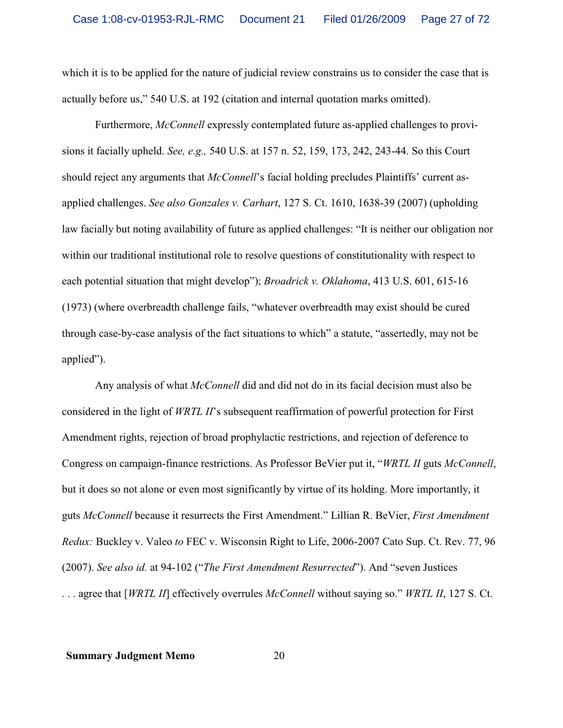which it is to be applied for the nature of judicial review constrains us to consider the case that is actually before us," 540 U.S. at 192 (citation and internal quotation marks omitted).

Furthermore, *McConnell* expressly contemplated future as-applied challenges to provisions it facially upheld. *See, e.g.,* 540 U.S. at 157 n. 52, 159, 173, 242, 243-44. So this Court should reject any arguments that *McConnell*'s facial holding precludes Plaintiffs' current asapplied challenges. *See also Gonzales v. Carhart*, 127 S. Ct. 1610, 1638-39 (2007) (upholding law facially but noting availability of future as applied challenges: "It is neither our obligation nor within our traditional institutional role to resolve questions of constitutionality with respect to each potential situation that might develop"); *Broadrick v. Oklahoma*, 413 U.S. 601, 615-16 (1973) (where overbreadth challenge fails, "whatever overbreadth may exist should be cured through case-by-case analysis of the fact situations to which" a statute, "assertedly, may not be applied").

Any analysis of what *McConnell* did and did not do in its facial decision must also be considered in the light of *WRTL II*'s subsequent reaffirmation of powerful protection for First Amendment rights, rejection of broad prophylactic restrictions, and rejection of deference to Congress on campaign-finance restrictions. As Professor BeVier put it, "*WRTL II* guts *McConnell*, but it does so not alone or even most significantly by virtue of its holding. More importantly, it guts *McConnell* because it resurrects the First Amendment." Lillian R. BeVier, *First Amendment Redux:* Buckley v. Valeo *to* FEC v. Wisconsin Right to Life, 2006-2007 Cato Sup. Ct. Rev. 77, 96 (2007). *See also id.* at 94-102 ("*The First Amendment Resurrected*"). And "seven Justices . . . agree that [*WRTL II*] effectively overrules *McConnell* without saying so." *WRTL II*, 127 S. Ct.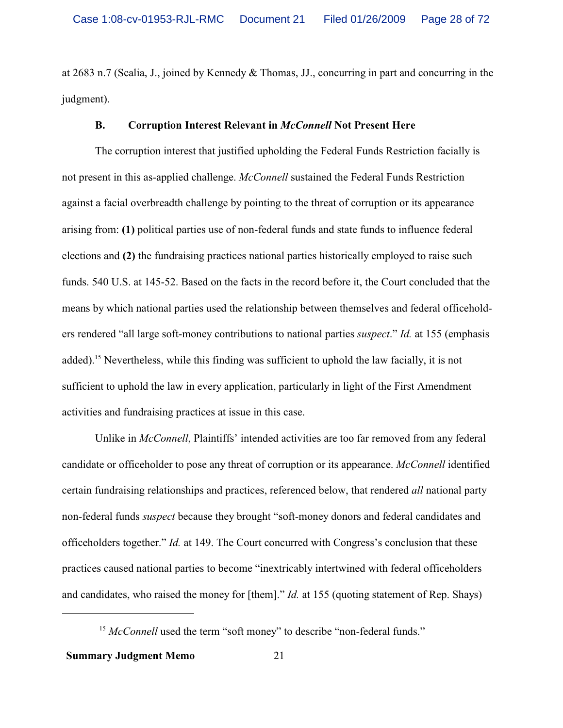at 2683 n.7 (Scalia, J., joined by Kennedy & Thomas, JJ., concurring in part and concurring in the judgment).

# **B. Corruption Interest Relevant in** *McConnell* **Not Present Here**

The corruption interest that justified upholding the Federal Funds Restriction facially is not present in this as-applied challenge. *McConnell* sustained the Federal Funds Restriction against a facial overbreadth challenge by pointing to the threat of corruption or its appearance arising from: **(1)** political parties use of non-federal funds and state funds to influence federal elections and **(2)** the fundraising practices national parties historically employed to raise such funds. 540 U.S. at 145-52. Based on the facts in the record before it, the Court concluded that the means by which national parties used the relationship between themselves and federal officeholders rendered "all large soft-money contributions to national parties *suspect*." *Id.* at 155 (emphasis added).<sup>15</sup> Nevertheless, while this finding was sufficient to uphold the law facially, it is not sufficient to uphold the law in every application, particularly in light of the First Amendment activities and fundraising practices at issue in this case.

Unlike in *McConnell*, Plaintiffs' intended activities are too far removed from any federal candidate or officeholder to pose any threat of corruption or its appearance. *McConnell* identified certain fundraising relationships and practices, referenced below, that rendered *all* national party non-federal funds *suspect* because they brought "soft-money donors and federal candidates and officeholders together." *Id.* at 149. The Court concurred with Congress's conclusion that these practices caused national parties to become "inextricably intertwined with federal officeholders and candidates, who raised the money for [them]." *Id.* at 155 (quoting statement of Rep. Shays)

<sup>&</sup>lt;sup>15</sup> McConnell used the term "soft money" to describe "non-federal funds."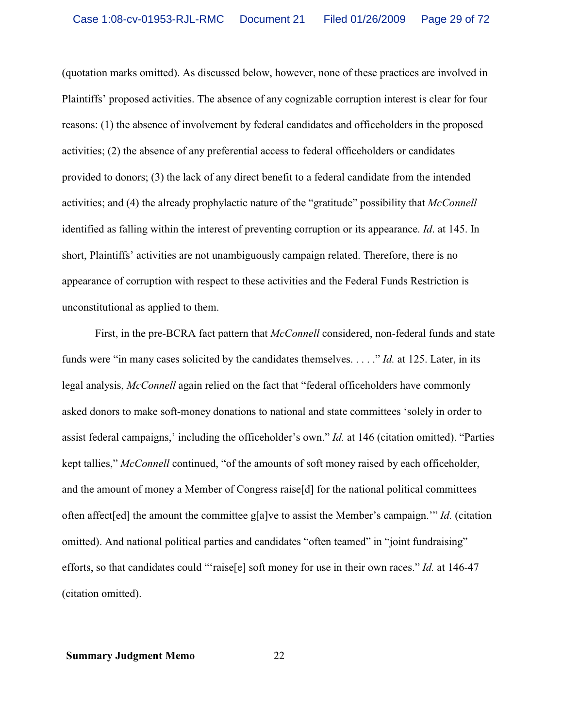(quotation marks omitted). As discussed below, however, none of these practices are involved in Plaintiffs' proposed activities. The absence of any cognizable corruption interest is clear for four reasons: (1) the absence of involvement by federal candidates and officeholders in the proposed activities; (2) the absence of any preferential access to federal officeholders or candidates provided to donors; (3) the lack of any direct benefit to a federal candidate from the intended activities; and (4) the already prophylactic nature of the "gratitude" possibility that *McConnell* identified as falling within the interest of preventing corruption or its appearance. *Id*. at 145. In short, Plaintiffs' activities are not unambiguously campaign related. Therefore, there is no appearance of corruption with respect to these activities and the Federal Funds Restriction is unconstitutional as applied to them.

First, in the pre-BCRA fact pattern that *McConnell* considered, non-federal funds and state funds were "in many cases solicited by the candidates themselves. . . . ." *Id.* at 125. Later, in its legal analysis, *McConnell* again relied on the fact that "federal officeholders have commonly asked donors to make soft-money donations to national and state committees 'solely in order to assist federal campaigns,' including the officeholder's own." *Id.* at 146 (citation omitted). "Parties kept tallies," *McConnell* continued, "of the amounts of soft money raised by each officeholder, and the amount of money a Member of Congress raise[d] for the national political committees often affect[ed] the amount the committee g[a]ve to assist the Member's campaign.'" *Id.* (citation omitted). And national political parties and candidates "often teamed" in "joint fundraising" efforts, so that candidates could "'raise[e] soft money for use in their own races." *Id.* at 146-47 (citation omitted).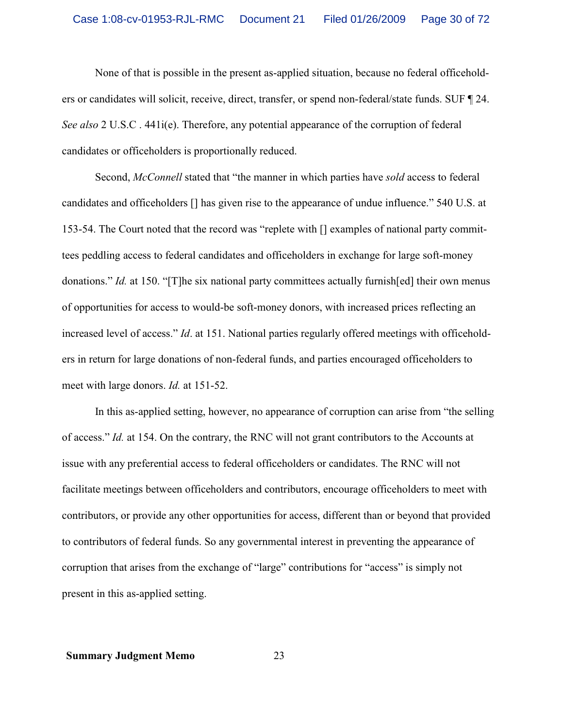None of that is possible in the present as-applied situation, because no federal officeholders or candidates will solicit, receive, direct, transfer, or spend non-federal/state funds. SUF ¶ 24. *See also* 2 U.S.C . 441i(e). Therefore, any potential appearance of the corruption of federal candidates or officeholders is proportionally reduced.

Second, *McConnell* stated that "the manner in which parties have *sold* access to federal candidates and officeholders [] has given rise to the appearance of undue influence." 540 U.S. at 153-54. The Court noted that the record was "replete with [] examples of national party committees peddling access to federal candidates and officeholders in exchange for large soft-money donations." *Id.* at 150. "[T]he six national party committees actually furnish[ed] their own menus of opportunities for access to would-be soft-money donors, with increased prices reflecting an increased level of access." *Id*. at 151. National parties regularly offered meetings with officeholders in return for large donations of non-federal funds, and parties encouraged officeholders to meet with large donors. *Id.* at 151-52.

In this as-applied setting, however, no appearance of corruption can arise from "the selling of access." *Id.* at 154. On the contrary, the RNC will not grant contributors to the Accounts at issue with any preferential access to federal officeholders or candidates. The RNC will not facilitate meetings between officeholders and contributors, encourage officeholders to meet with contributors, or provide any other opportunities for access, different than or beyond that provided to contributors of federal funds. So any governmental interest in preventing the appearance of corruption that arises from the exchange of "large" contributions for "access" is simply not present in this as-applied setting.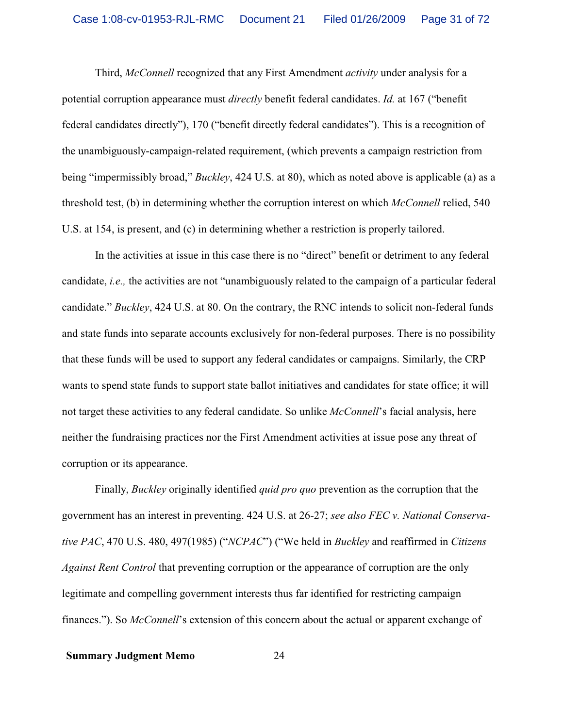Third, *McConnell* recognized that any First Amendment *activity* under analysis for a potential corruption appearance must *directly* benefit federal candidates. *Id.* at 167 ("benefit federal candidates directly"), 170 ("benefit directly federal candidates"). This is a recognition of the unambiguously-campaign-related requirement, (which prevents a campaign restriction from being "impermissibly broad," *Buckley*, 424 U.S. at 80), which as noted above is applicable (a) as a threshold test, (b) in determining whether the corruption interest on which *McConnell* relied, 540 U.S. at 154, is present, and (c) in determining whether a restriction is properly tailored.

In the activities at issue in this case there is no "direct" benefit or detriment to any federal candidate, *i.e.,* the activities are not "unambiguously related to the campaign of a particular federal candidate." *Buckley*, 424 U.S. at 80. On the contrary, the RNC intends to solicit non-federal funds and state funds into separate accounts exclusively for non-federal purposes. There is no possibility that these funds will be used to support any federal candidates or campaigns. Similarly, the CRP wants to spend state funds to support state ballot initiatives and candidates for state office; it will not target these activities to any federal candidate. So unlike *McConnell*'s facial analysis, here neither the fundraising practices nor the First Amendment activities at issue pose any threat of corruption or its appearance.

Finally, *Buckley* originally identified *quid pro quo* prevention as the corruption that the government has an interest in preventing. 424 U.S. at 26-27; *see also FEC v. National Conservative PAC*, 470 U.S. 480, 497(1985) ("*NCPAC*") ("We held in *Buckley* and reaffirmed in *Citizens Against Rent Control* that preventing corruption or the appearance of corruption are the only legitimate and compelling government interests thus far identified for restricting campaign finances."). So *McConnell*'s extension of this concern about the actual or apparent exchange of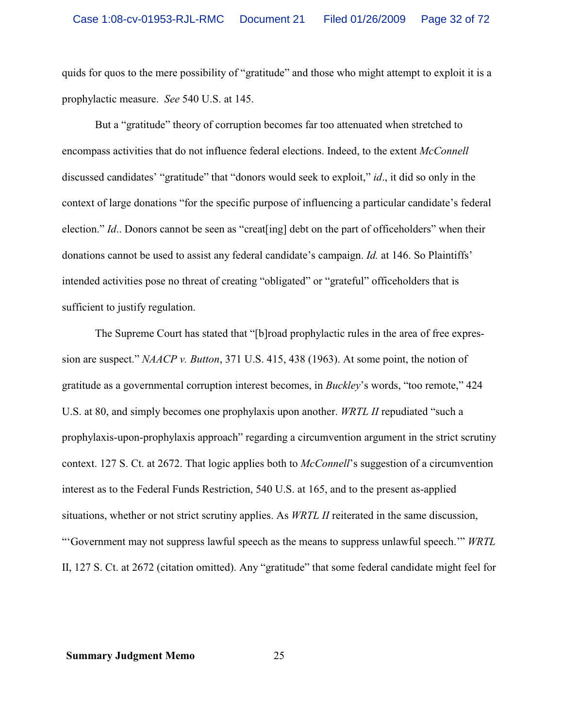quids for quos to the mere possibility of "gratitude" and those who might attempt to exploit it is a prophylactic measure. *See* 540 U.S. at 145.

But a "gratitude" theory of corruption becomes far too attenuated when stretched to encompass activities that do not influence federal elections. Indeed, to the extent *McConnell* discussed candidates' "gratitude" that "donors would seek to exploit," *id*., it did so only in the context of large donations "for the specific purpose of influencing a particular candidate's federal election." *Id.*. Donors cannot be seen as "creat [ing] debt on the part of officeholders" when their donations cannot be used to assist any federal candidate's campaign. *Id.* at 146. So Plaintiffs' intended activities pose no threat of creating "obligated" or "grateful" officeholders that is sufficient to justify regulation.

The Supreme Court has stated that "[b]road prophylactic rules in the area of free expression are suspect." *NAACP v. Button*, 371 U.S. 415, 438 (1963). At some point, the notion of gratitude as a governmental corruption interest becomes, in *Buckley*'s words, "too remote," 424 U.S. at 80, and simply becomes one prophylaxis upon another. *WRTL II* repudiated "such a prophylaxis-upon-prophylaxis approach" regarding a circumvention argument in the strict scrutiny context. 127 S. Ct. at 2672. That logic applies both to *McConnell*'s suggestion of a circumvention interest as to the Federal Funds Restriction, 540 U.S. at 165, and to the present as-applied situations, whether or not strict scrutiny applies. As *WRTL II* reiterated in the same discussion, "'Government may not suppress lawful speech as the means to suppress unlawful speech.'" *WRTL* II, 127 S. Ct. at 2672 (citation omitted). Any "gratitude" that some federal candidate might feel for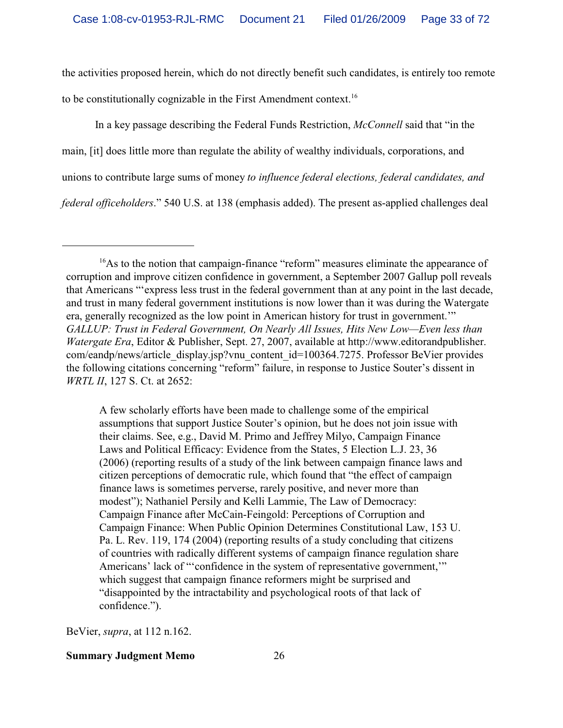the activities proposed herein, which do not directly benefit such candidates, is entirely too remote to be constitutionally cognizable in the First Amendment context.<sup>16</sup>

In a key passage describing the Federal Funds Restriction, *McConnell* said that "in the main, [it] does little more than regulate the ability of wealthy individuals, corporations, and unions to contribute large sums of money *to influence federal elections, federal candidates, and federal officeholders*." 540 U.S. at 138 (emphasis added). The present as-applied challenges deal

A few scholarly efforts have been made to challenge some of the empirical assumptions that support Justice Souter's opinion, but he does not join issue with their claims. See, e.g., David M. Primo and Jeffrey Milyo, Campaign Finance Laws and Political Efficacy: Evidence from the States, 5 Election L.J. 23, 36 (2006) (reporting results of a study of the link between campaign finance laws and citizen perceptions of democratic rule, which found that "the effect of campaign finance laws is sometimes perverse, rarely positive, and never more than modest"); Nathaniel Persily and Kelli Lammie, The Law of Democracy: Campaign Finance after McCain-Feingold: Perceptions of Corruption and Campaign Finance: When Public Opinion Determines Constitutional Law, 153 U. Pa. L. Rev. 119, 174 (2004) (reporting results of a study concluding that citizens of countries with radically different systems of campaign finance regulation share Americans' lack of "'confidence in the system of representative government,'" which suggest that campaign finance reformers might be surprised and "disappointed by the intractability and psychological roots of that lack of confidence.").

BeVier, *supra*, at 112 n.162.

<sup>&</sup>lt;sup>16</sup>As to the notion that campaign-finance "reform" measures eliminate the appearance of corruption and improve citizen confidence in government, a September 2007 Gallup poll reveals that Americans "'express less trust in the federal government than at any point in the last decade, and trust in many federal government institutions is now lower than it was during the Watergate era, generally recognized as the low point in American history for trust in government.'" *GALLUP: Trust in Federal Government, On Nearly All Issues, Hits New Low—Even less than Watergate Era*, Editor & Publisher, Sept. 27, 2007, available at http://www.editorandpublisher. com/eandp/news/article\_display.jsp?vnu\_content\_id=100364.7275. Professor BeVier provides the following citations concerning "reform" failure, in response to Justice Souter's dissent in *WRTL II*, 127 S. Ct. at 2652: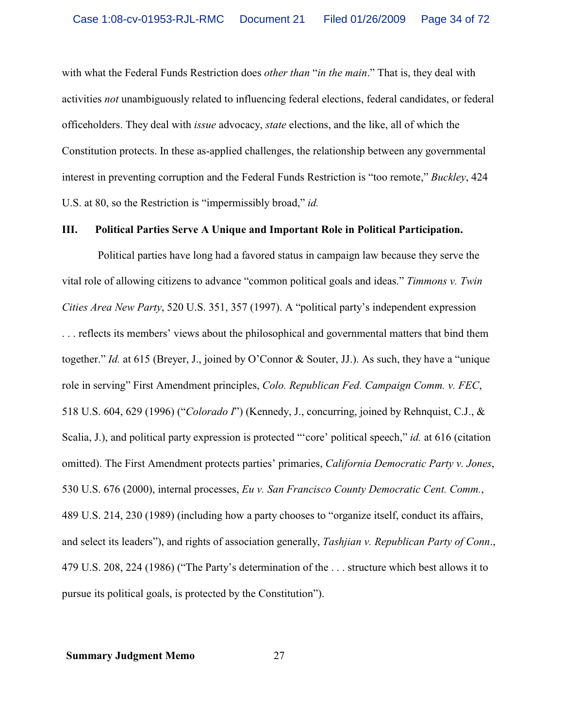with what the Federal Funds Restriction does *other than* "*in the main*." That is, they deal with activities *not* unambiguously related to influencing federal elections, federal candidates, or federal officeholders. They deal with *issue* advocacy, *state* elections, and the like, all of which the Constitution protects. In these as-applied challenges, the relationship between any governmental interest in preventing corruption and the Federal Funds Restriction is "too remote," *Buckley*, 424 U.S. at 80, so the Restriction is "impermissibly broad," *id.*

# **III. Political Parties Serve A Unique and Important Role in Political Participation.**

 Political parties have long had a favored status in campaign law because they serve the vital role of allowing citizens to advance "common political goals and ideas." *Timmons v. Twin Cities Area New Party*, 520 U.S. 351, 357 (1997). A "political party's independent expression . . . reflects its members' views about the philosophical and governmental matters that bind them together." *Id.* at 615 (Breyer, J., joined by O'Connor & Souter, JJ.). As such, they have a "unique role in serving" First Amendment principles, *Colo. Republican Fed. Campaign Comm. v. FEC*, 518 U.S. 604, 629 (1996) ("*Colorado I*") (Kennedy, J., concurring, joined by Rehnquist, C.J., & Scalia, J.), and political party expression is protected "'core' political speech," *id.* at 616 (citation omitted). The First Amendment protects parties' primaries, *California Democratic Party v. Jones*, 530 U.S. 676 (2000), internal processes, *Eu v. San Francisco County Democratic Cent. Comm.*, 489 U.S. 214, 230 (1989) (including how a party chooses to "organize itself, conduct its affairs, and select its leaders"), and rights of association generally, *Tashjian v. Republican Party of Conn*., 479 U.S. 208, 224 (1986) ("The Party's determination of the . . . structure which best allows it to pursue its political goals, is protected by the Constitution").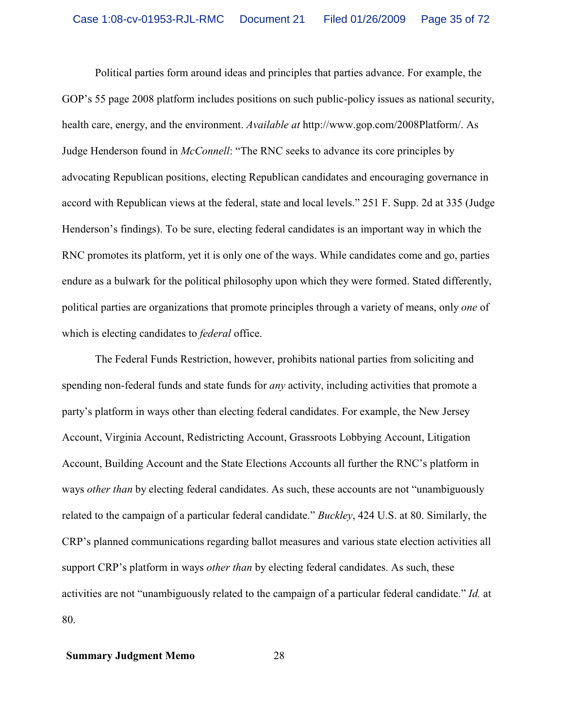Political parties form around ideas and principles that parties advance. For example, the GOP's 55 page 2008 platform includes positions on such public-policy issues as national security, health care, energy, and the environment. *Available at* http://www.gop.com/2008Platform/. As Judge Henderson found in *McConnell*: "The RNC seeks to advance its core principles by advocating Republican positions, electing Republican candidates and encouraging governance in accord with Republican views at the federal, state and local levels." 251 F. Supp. 2d at 335 (Judge Henderson's findings). To be sure, electing federal candidates is an important way in which the RNC promotes its platform, yet it is only one of the ways. While candidates come and go, parties endure as a bulwark for the political philosophy upon which they were formed. Stated differently, political parties are organizations that promote principles through a variety of means, only *one* of which is electing candidates to *federal* office.

The Federal Funds Restriction, however, prohibits national parties from soliciting and spending non-federal funds and state funds for *any* activity, including activities that promote a party's platform in ways other than electing federal candidates. For example, the New Jersey Account, Virginia Account, Redistricting Account, Grassroots Lobbying Account, Litigation Account, Building Account and the State Elections Accounts all further the RNC's platform in ways *other than* by electing federal candidates. As such, these accounts are not "unambiguously related to the campaign of a particular federal candidate." *Buckley*, 424 U.S. at 80. Similarly, the CRP's planned communications regarding ballot measures and various state election activities all support CRP's platform in ways *other than* by electing federal candidates. As such, these activities are not "unambiguously related to the campaign of a particular federal candidate." *Id.* at 80.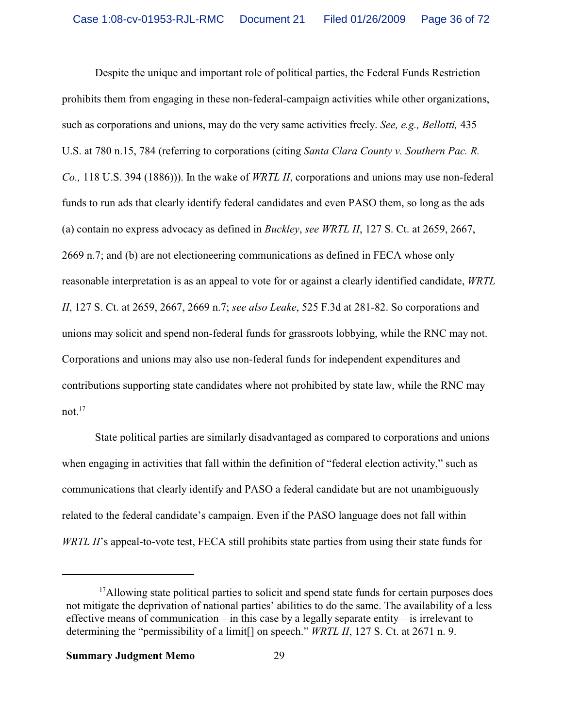Despite the unique and important role of political parties, the Federal Funds Restriction prohibits them from engaging in these non-federal-campaign activities while other organizations, such as corporations and unions, may do the very same activities freely. *See, e.g., Bellotti,* 435 U.S. at 780 n.15, 784 (referring to corporations (citing *Santa Clara County v. Southern Pac. R. Co.,* 118 U.S. 394 (1886))). In the wake of *WRTL II*, corporations and unions may use non-federal funds to run ads that clearly identify federal candidates and even PASO them, so long as the ads (a) contain no express advocacy as defined in *Buckley*, *see WRTL II*, 127 S. Ct. at 2659, 2667, 2669 n.7; and (b) are not electioneering communications as defined in FECA whose only reasonable interpretation is as an appeal to vote for or against a clearly identified candidate, *WRTL II*, 127 S. Ct. at 2659, 2667, 2669 n.7; *see also Leake*, 525 F.3d at 281-82. So corporations and unions may solicit and spend non-federal funds for grassroots lobbying, while the RNC may not. Corporations and unions may also use non-federal funds for independent expenditures and contributions supporting state candidates where not prohibited by state law, while the RNC may not. $17$ 

State political parties are similarly disadvantaged as compared to corporations and unions when engaging in activities that fall within the definition of "federal election activity," such as communications that clearly identify and PASO a federal candidate but are not unambiguously related to the federal candidate's campaign. Even if the PASO language does not fall within *WRTL II*'s appeal-to-vote test, FECA still prohibits state parties from using their state funds for

<sup>&</sup>lt;sup>17</sup>Allowing state political parties to solicit and spend state funds for certain purposes does not mitigate the deprivation of national parties' abilities to do the same. The availability of a less effective means of communication—in this case by a legally separate entity—is irrelevant to determining the "permissibility of a limit[] on speech." *WRTL II*, 127 S. Ct. at 2671 n. 9.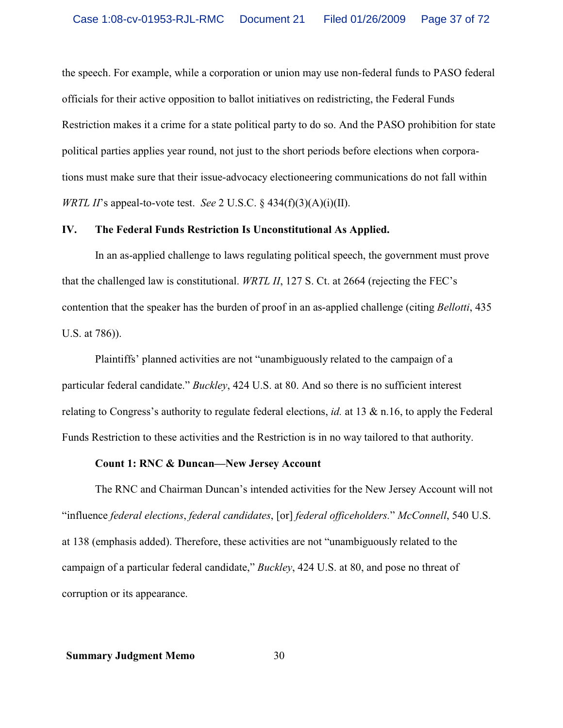the speech. For example, while a corporation or union may use non-federal funds to PASO federal officials for their active opposition to ballot initiatives on redistricting, the Federal Funds Restriction makes it a crime for a state political party to do so. And the PASO prohibition for state political parties applies year round, not just to the short periods before elections when corporations must make sure that their issue-advocacy electioneering communications do not fall within *WRTL II*'s appeal-to-vote test. *See* 2 U.S.C. § 434(f)(3)(A)(i)(II).

# **IV. The Federal Funds Restriction Is Unconstitutional As Applied.**

In an as-applied challenge to laws regulating political speech, the government must prove that the challenged law is constitutional. *WRTL II*, 127 S. Ct. at 2664 (rejecting the FEC's contention that the speaker has the burden of proof in an as-applied challenge (citing *Bellotti*, 435 U.S. at 786)).

Plaintiffs' planned activities are not "unambiguously related to the campaign of a particular federal candidate." *Buckley*, 424 U.S. at 80. And so there is no sufficient interest relating to Congress's authority to regulate federal elections, *id.* at 13 & n.16, to apply the Federal Funds Restriction to these activities and the Restriction is in no way tailored to that authority.

#### **Count 1: RNC & Duncan—New Jersey Account**

The RNC and Chairman Duncan's intended activities for the New Jersey Account will not "influence *federal elections*, *federal candidates*, [or] *federal officeholders.*" *McConnell*, 540 U.S. at 138 (emphasis added). Therefore, these activities are not "unambiguously related to the campaign of a particular federal candidate," *Buckley*, 424 U.S. at 80, and pose no threat of corruption or its appearance.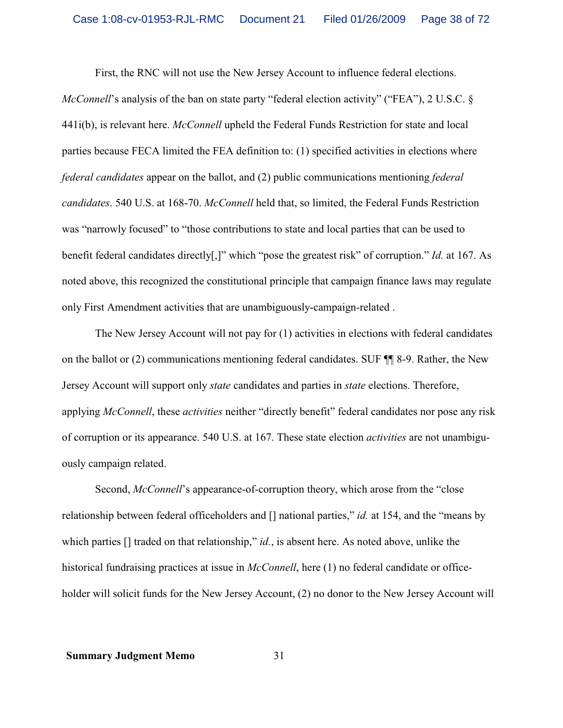First, the RNC will not use the New Jersey Account to influence federal elections.

*McConnell*'s analysis of the ban on state party "federal election activity" ("FEA"), 2 U.S.C. § 441i(b), is relevant here. *McConnell* upheld the Federal Funds Restriction for state and local parties because FECA limited the FEA definition to: (1) specified activities in elections where *federal candidates* appear on the ballot, and (2) public communications mentioning *federal candidates*. 540 U.S. at 168-70. *McConnell* held that, so limited, the Federal Funds Restriction was "narrowly focused" to "those contributions to state and local parties that can be used to benefit federal candidates directly[,]" which "pose the greatest risk" of corruption." *Id.* at 167. As noted above, this recognized the constitutional principle that campaign finance laws may regulate only First Amendment activities that are unambiguously-campaign-related .

The New Jersey Account will not pay for (1) activities in elections with federal candidates on the ballot or (2) communications mentioning federal candidates. SUF ¶¶ 8-9. Rather, the New Jersey Account will support only *state* candidates and parties in *state* elections. Therefore, applying *McConnell*, these *activities* neither "directly benefit" federal candidates nor pose any risk of corruption or its appearance. 540 U.S. at 167. These state election *activities* are not unambiguously campaign related.

Second, *McConnell*'s appearance-of-corruption theory, which arose from the "close relationship between federal officeholders and [] national parties," *id.* at 154, and the "means by which parties  $\iint$  traded on that relationship," *id.*, is absent here. As noted above, unlike the historical fundraising practices at issue in *McConnell*, here (1) no federal candidate or officeholder will solicit funds for the New Jersey Account, (2) no donor to the New Jersey Account will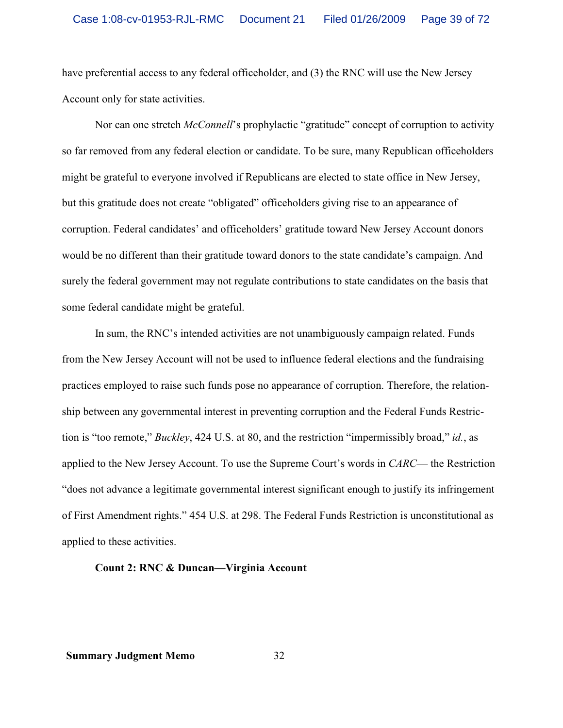have preferential access to any federal officeholder, and (3) the RNC will use the New Jersey Account only for state activities.

Nor can one stretch *McConnell*'s prophylactic "gratitude" concept of corruption to activity so far removed from any federal election or candidate. To be sure, many Republican officeholders might be grateful to everyone involved if Republicans are elected to state office in New Jersey, but this gratitude does not create "obligated" officeholders giving rise to an appearance of corruption. Federal candidates' and officeholders' gratitude toward New Jersey Account donors would be no different than their gratitude toward donors to the state candidate's campaign. And surely the federal government may not regulate contributions to state candidates on the basis that some federal candidate might be grateful.

In sum, the RNC's intended activities are not unambiguously campaign related. Funds from the New Jersey Account will not be used to influence federal elections and the fundraising practices employed to raise such funds pose no appearance of corruption. Therefore, the relationship between any governmental interest in preventing corruption and the Federal Funds Restriction is "too remote," *Buckley*, 424 U.S. at 80, and the restriction "impermissibly broad," *id.*, as applied to the New Jersey Account. To use the Supreme Court's words in *CARC*— the Restriction "does not advance a legitimate governmental interest significant enough to justify its infringement of First Amendment rights." 454 U.S. at 298. The Federal Funds Restriction is unconstitutional as applied to these activities.

# **Count 2: RNC & Duncan—Virginia Account**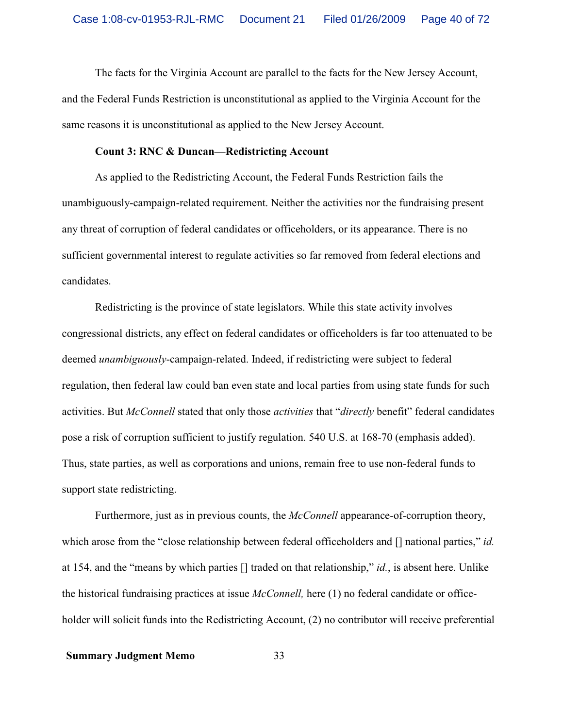The facts for the Virginia Account are parallel to the facts for the New Jersey Account, and the Federal Funds Restriction is unconstitutional as applied to the Virginia Account for the same reasons it is unconstitutional as applied to the New Jersey Account.

# **Count 3: RNC & Duncan—Redistricting Account**

As applied to the Redistricting Account, the Federal Funds Restriction fails the unambiguously-campaign-related requirement. Neither the activities nor the fundraising present any threat of corruption of federal candidates or officeholders, or its appearance. There is no sufficient governmental interest to regulate activities so far removed from federal elections and candidates.

Redistricting is the province of state legislators. While this state activity involves congressional districts, any effect on federal candidates or officeholders is far too attenuated to be deemed *unambiguously*-campaign-related. Indeed, if redistricting were subject to federal regulation, then federal law could ban even state and local parties from using state funds for such activities. But *McConnell* stated that only those *activities* that "*directly* benefit" federal candidates pose a risk of corruption sufficient to justify regulation. 540 U.S. at 168-70 (emphasis added). Thus, state parties, as well as corporations and unions, remain free to use non-federal funds to support state redistricting.

Furthermore, just as in previous counts, the *McConnell* appearance-of-corruption theory, which arose from the "close relationship between federal officeholders and [] national parties," *id.* at 154, and the "means by which parties [] traded on that relationship," *id.*, is absent here. Unlike the historical fundraising practices at issue *McConnell,* here (1) no federal candidate or officeholder will solicit funds into the Redistricting Account, (2) no contributor will receive preferential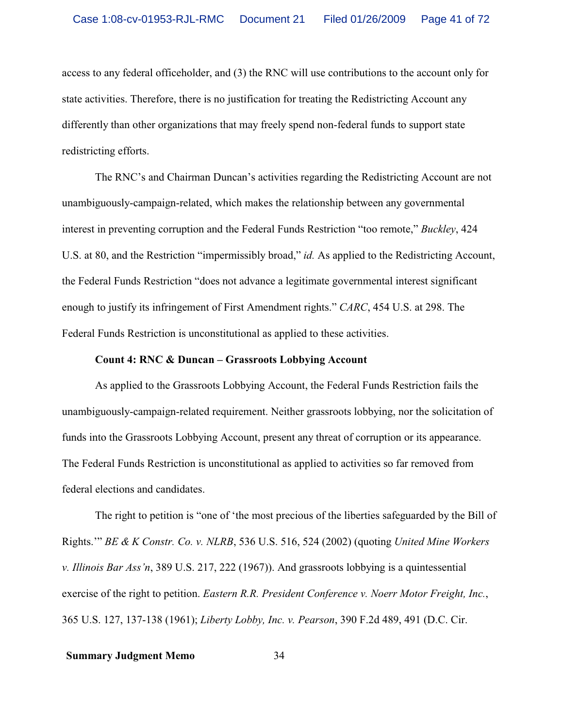access to any federal officeholder, and (3) the RNC will use contributions to the account only for state activities. Therefore, there is no justification for treating the Redistricting Account any differently than other organizations that may freely spend non-federal funds to support state redistricting efforts.

The RNC's and Chairman Duncan's activities regarding the Redistricting Account are not unambiguously-campaign-related, which makes the relationship between any governmental interest in preventing corruption and the Federal Funds Restriction "too remote," *Buckley*, 424 U.S. at 80, and the Restriction "impermissibly broad," *id.* As applied to the Redistricting Account, the Federal Funds Restriction "does not advance a legitimate governmental interest significant enough to justify its infringement of First Amendment rights." *CARC*, 454 U.S. at 298. The Federal Funds Restriction is unconstitutional as applied to these activities.

# **Count 4: RNC & Duncan – Grassroots Lobbying Account**

As applied to the Grassroots Lobbying Account, the Federal Funds Restriction fails the unambiguously-campaign-related requirement. Neither grassroots lobbying, nor the solicitation of funds into the Grassroots Lobbying Account, present any threat of corruption or its appearance. The Federal Funds Restriction is unconstitutional as applied to activities so far removed from federal elections and candidates.

The right to petition is "one of 'the most precious of the liberties safeguarded by the Bill of Rights.'" *BE & K Constr. Co. v. NLRB*, 536 U.S. 516, 524 (2002) (quoting *United Mine Workers v. Illinois Bar Ass'n*, 389 U.S. 217, 222 (1967)). And grassroots lobbying is a quintessential exercise of the right to petition. *Eastern R.R. President Conference v. Noerr Motor Freight, Inc.*, 365 U.S. 127, 137-138 (1961); *Liberty Lobby, Inc. v. Pearson*, 390 F.2d 489, 491 (D.C. Cir.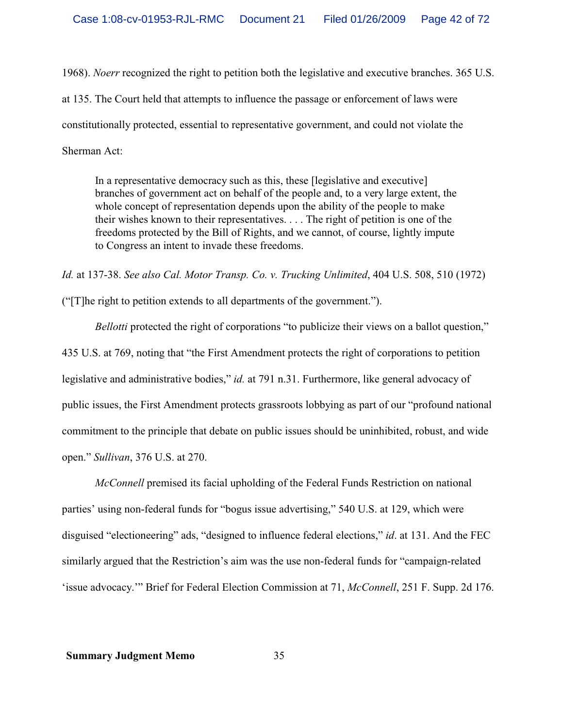1968). *Noerr* recognized the right to petition both the legislative and executive branches. 365 U.S. at 135. The Court held that attempts to influence the passage or enforcement of laws were constitutionally protected, essential to representative government, and could not violate the Sherman Act:

In a representative democracy such as this, these [legislative and executive] branches of government act on behalf of the people and, to a very large extent, the whole concept of representation depends upon the ability of the people to make their wishes known to their representatives. . . . The right of petition is one of the freedoms protected by the Bill of Rights, and we cannot, of course, lightly impute to Congress an intent to invade these freedoms.

*Id.* at 137-38. *See also Cal. Motor Transp. Co. v. Trucking Unlimited*, 404 U.S. 508, 510 (1972)

("[T]he right to petition extends to all departments of the government.").

*Bellotti* protected the right of corporations "to publicize their views on a ballot question," 435 U.S. at 769, noting that "the First Amendment protects the right of corporations to petition legislative and administrative bodies," *id.* at 791 n.31. Furthermore, like general advocacy of public issues, the First Amendment protects grassroots lobbying as part of our "profound national commitment to the principle that debate on public issues should be uninhibited, robust, and wide open." *Sullivan*, 376 U.S. at 270.

*McConnell* premised its facial upholding of the Federal Funds Restriction on national parties' using non-federal funds for "bogus issue advertising," 540 U.S. at 129, which were disguised "electioneering" ads, "designed to influence federal elections," *id*. at 131. And the FEC similarly argued that the Restriction's aim was the use non-federal funds for "campaign-related 'issue advocacy.'" Brief for Federal Election Commission at 71, *McConnell*, 251 F. Supp. 2d 176.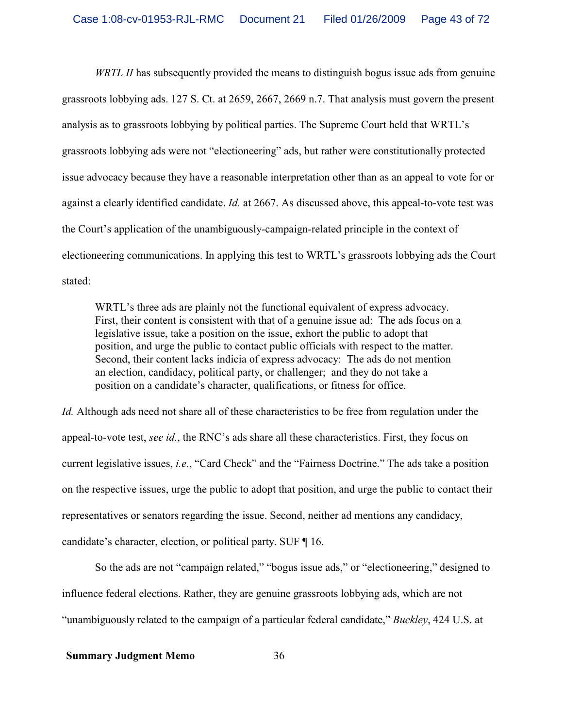*WRTL II* has subsequently provided the means to distinguish bogus issue ads from genuine grassroots lobbying ads. 127 S. Ct. at 2659, 2667, 2669 n.7. That analysis must govern the present analysis as to grassroots lobbying by political parties. The Supreme Court held that WRTL's grassroots lobbying ads were not "electioneering" ads, but rather were constitutionally protected issue advocacy because they have a reasonable interpretation other than as an appeal to vote for or against a clearly identified candidate. *Id.* at 2667. As discussed above, this appeal-to-vote test was the Court's application of the unambiguously-campaign-related principle in the context of electioneering communications. In applying this test to WRTL's grassroots lobbying ads the Court stated:

WRTL's three ads are plainly not the functional equivalent of express advocacy. First, their content is consistent with that of a genuine issue ad: The ads focus on a legislative issue, take a position on the issue, exhort the public to adopt that position, and urge the public to contact public officials with respect to the matter. Second, their content lacks indicia of express advocacy: The ads do not mention an election, candidacy, political party, or challenger; and they do not take a position on a candidate's character, qualifications, or fitness for office.

*Id.* Although ads need not share all of these characteristics to be free from regulation under the appeal-to-vote test, *see id.*, the RNC's ads share all these characteristics. First, they focus on current legislative issues, *i.e.*, "Card Check" and the "Fairness Doctrine." The ads take a position on the respective issues, urge the public to adopt that position, and urge the public to contact their representatives or senators regarding the issue. Second, neither ad mentions any candidacy, candidate's character, election, or political party. SUF ¶ 16.

So the ads are not "campaign related," "bogus issue ads," or "electioneering," designed to influence federal elections. Rather, they are genuine grassroots lobbying ads, which are not "unambiguously related to the campaign of a particular federal candidate," *Buckley*, 424 U.S. at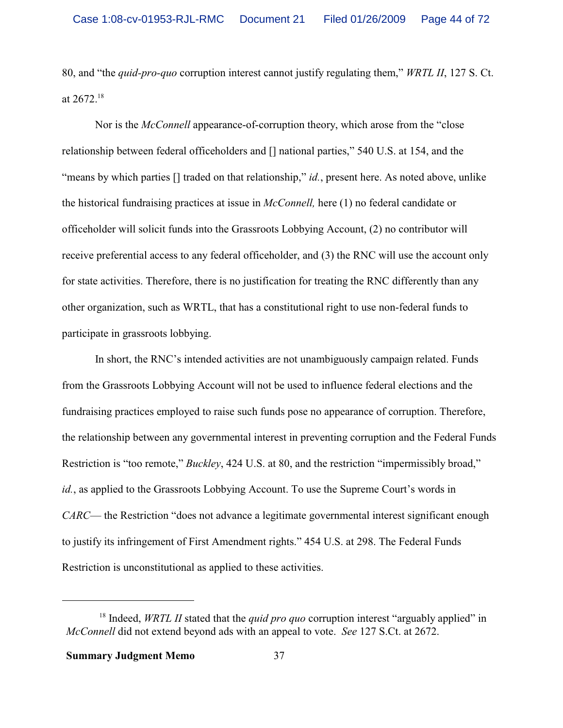80, and "the *quid-pro-quo* corruption interest cannot justify regulating them," *WRTL II*, 127 S. Ct. at  $2672.^{18}$ 

Nor is the *McConnell* appearance-of-corruption theory, which arose from the "close relationship between federal officeholders and [] national parties," 540 U.S. at 154, and the "means by which parties [] traded on that relationship," *id.*, present here. As noted above, unlike the historical fundraising practices at issue in *McConnell,* here (1) no federal candidate or officeholder will solicit funds into the Grassroots Lobbying Account, (2) no contributor will receive preferential access to any federal officeholder, and (3) the RNC will use the account only for state activities. Therefore, there is no justification for treating the RNC differently than any other organization, such as WRTL, that has a constitutional right to use non-federal funds to participate in grassroots lobbying.

In short, the RNC's intended activities are not unambiguously campaign related. Funds from the Grassroots Lobbying Account will not be used to influence federal elections and the fundraising practices employed to raise such funds pose no appearance of corruption. Therefore, the relationship between any governmental interest in preventing corruption and the Federal Funds Restriction is "too remote," *Buckley*, 424 U.S. at 80, and the restriction "impermissibly broad," *id.*, as applied to the Grassroots Lobbying Account. To use the Supreme Court's words in *CARC*— the Restriction "does not advance a legitimate governmental interest significant enough to justify its infringement of First Amendment rights." 454 U.S. at 298. The Federal Funds Restriction is unconstitutional as applied to these activities.

<sup>&</sup>lt;sup>18</sup> Indeed, *WRTL II* stated that the *quid pro quo* corruption interest "arguably applied" in *McConnell* did not extend beyond ads with an appeal to vote. *See* 127 S.Ct. at 2672.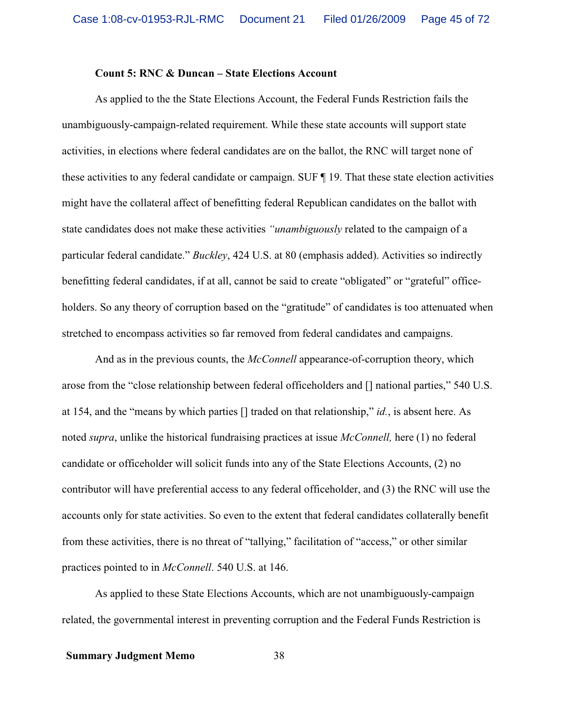#### **Count 5: RNC & Duncan – State Elections Account**

As applied to the the State Elections Account, the Federal Funds Restriction fails the unambiguously-campaign-related requirement. While these state accounts will support state activities, in elections where federal candidates are on the ballot, the RNC will target none of these activities to any federal candidate or campaign. SUF ¶ 19. That these state election activities might have the collateral affect of benefitting federal Republican candidates on the ballot with state candidates does not make these activities *"unambiguously* related to the campaign of a particular federal candidate." *Buckley*, 424 U.S. at 80 (emphasis added). Activities so indirectly benefitting federal candidates, if at all, cannot be said to create "obligated" or "grateful" officeholders. So any theory of corruption based on the "gratitude" of candidates is too attenuated when stretched to encompass activities so far removed from federal candidates and campaigns.

And as in the previous counts, the *McConnell* appearance-of-corruption theory, which arose from the "close relationship between federal officeholders and [] national parties," 540 U.S. at 154, and the "means by which parties [] traded on that relationship," *id.*, is absent here. As noted *supra*, unlike the historical fundraising practices at issue *McConnell,* here (1) no federal candidate or officeholder will solicit funds into any of the State Elections Accounts, (2) no contributor will have preferential access to any federal officeholder, and (3) the RNC will use the accounts only for state activities. So even to the extent that federal candidates collaterally benefit from these activities, there is no threat of "tallying," facilitation of "access," or other similar practices pointed to in *McConnell*. 540 U.S. at 146.

As applied to these State Elections Accounts, which are not unambiguously-campaign related, the governmental interest in preventing corruption and the Federal Funds Restriction is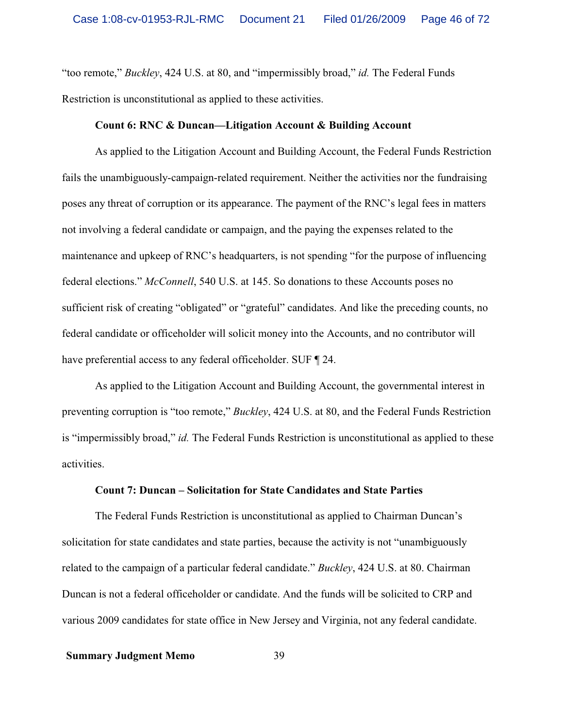"too remote," *Buckley*, 424 U.S. at 80, and "impermissibly broad," *id.* The Federal Funds Restriction is unconstitutional as applied to these activities.

#### **Count 6: RNC & Duncan—Litigation Account & Building Account**

As applied to the Litigation Account and Building Account, the Federal Funds Restriction fails the unambiguously-campaign-related requirement. Neither the activities nor the fundraising poses any threat of corruption or its appearance. The payment of the RNC's legal fees in matters not involving a federal candidate or campaign, and the paying the expenses related to the maintenance and upkeep of RNC's headquarters, is not spending "for the purpose of influencing federal elections." *McConnell*, 540 U.S. at 145. So donations to these Accounts poses no sufficient risk of creating "obligated" or "grateful" candidates. And like the preceding counts, no federal candidate or officeholder will solicit money into the Accounts, and no contributor will have preferential access to any federal officeholder. SUF  $\P$  24.

As applied to the Litigation Account and Building Account, the governmental interest in preventing corruption is "too remote," *Buckley*, 424 U.S. at 80, and the Federal Funds Restriction is "impermissibly broad," *id.* The Federal Funds Restriction is unconstitutional as applied to these activities.

#### **Count 7: Duncan – Solicitation for State Candidates and State Parties**

The Federal Funds Restriction is unconstitutional as applied to Chairman Duncan's solicitation for state candidates and state parties, because the activity is not "unambiguously related to the campaign of a particular federal candidate." *Buckley*, 424 U.S. at 80. Chairman Duncan is not a federal officeholder or candidate. And the funds will be solicited to CRP and various 2009 candidates for state office in New Jersey and Virginia, not any federal candidate.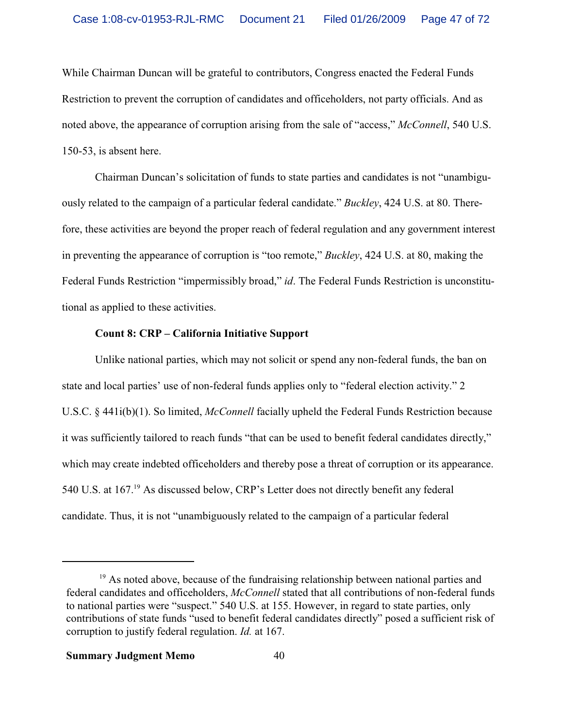While Chairman Duncan will be grateful to contributors, Congress enacted the Federal Funds Restriction to prevent the corruption of candidates and officeholders, not party officials. And as noted above, the appearance of corruption arising from the sale of "access," *McConnell*, 540 U.S. 150-53, is absent here.

Chairman Duncan's solicitation of funds to state parties and candidates is not "unambiguously related to the campaign of a particular federal candidate." *Buckley*, 424 U.S. at 80. Therefore, these activities are beyond the proper reach of federal regulation and any government interest in preventing the appearance of corruption is "too remote," *Buckley*, 424 U.S. at 80, making the Federal Funds Restriction "impermissibly broad," *id*. The Federal Funds Restriction is unconstitutional as applied to these activities.

# **Count 8: CRP – California Initiative Support**

Unlike national parties, which may not solicit or spend any non-federal funds, the ban on state and local parties' use of non-federal funds applies only to "federal election activity." 2 U.S.C. § 441i(b)(1). So limited, *McConnell* facially upheld the Federal Funds Restriction because it was sufficiently tailored to reach funds "that can be used to benefit federal candidates directly," which may create indebted officeholders and thereby pose a threat of corruption or its appearance. 540 U.S. at 167.<sup>19</sup> As discussed below, CRP's Letter does not directly benefit any federal candidate. Thus, it is not "unambiguously related to the campaign of a particular federal

<sup>&</sup>lt;sup>19</sup> As noted above, because of the fundraising relationship between national parties and federal candidates and officeholders, *McConnell* stated that all contributions of non-federal funds to national parties were "suspect." 540 U.S. at 155. However, in regard to state parties, only contributions of state funds "used to benefit federal candidates directly" posed a sufficient risk of corruption to justify federal regulation. *Id.* at 167.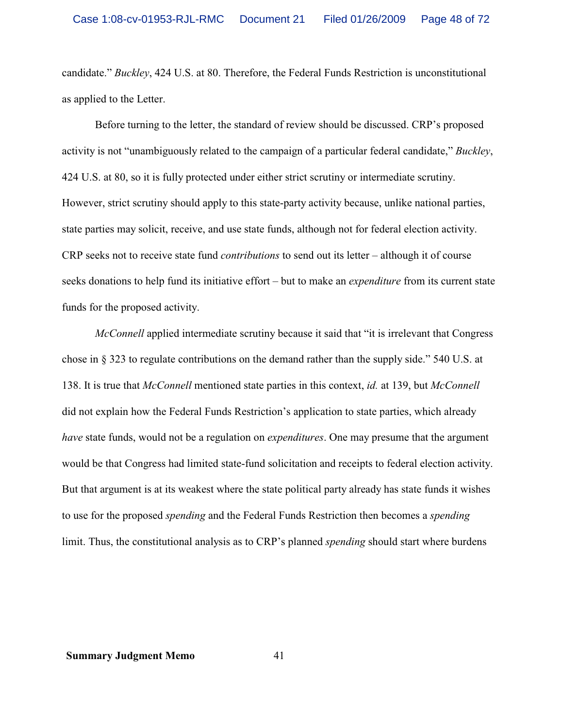candidate." *Buckley*, 424 U.S. at 80. Therefore, the Federal Funds Restriction is unconstitutional as applied to the Letter.

Before turning to the letter, the standard of review should be discussed. CRP's proposed activity is not "unambiguously related to the campaign of a particular federal candidate," *Buckley*, 424 U.S. at 80, so it is fully protected under either strict scrutiny or intermediate scrutiny. However, strict scrutiny should apply to this state-party activity because, unlike national parties, state parties may solicit, receive, and use state funds, although not for federal election activity. CRP seeks not to receive state fund *contributions* to send out its letter – although it of course seeks donations to help fund its initiative effort – but to make an *expenditure* from its current state funds for the proposed activity.

*McConnell* applied intermediate scrutiny because it said that "it is irrelevant that Congress" chose in § 323 to regulate contributions on the demand rather than the supply side." 540 U.S. at 138. It is true that *McConnell* mentioned state parties in this context, *id.* at 139, but *McConnell* did not explain how the Federal Funds Restriction's application to state parties, which already *have* state funds, would not be a regulation on *expenditures*. One may presume that the argument would be that Congress had limited state-fund solicitation and receipts to federal election activity. But that argument is at its weakest where the state political party already has state funds it wishes to use for the proposed *spending* and the Federal Funds Restriction then becomes a *spending* limit. Thus, the constitutional analysis as to CRP's planned *spending* should start where burdens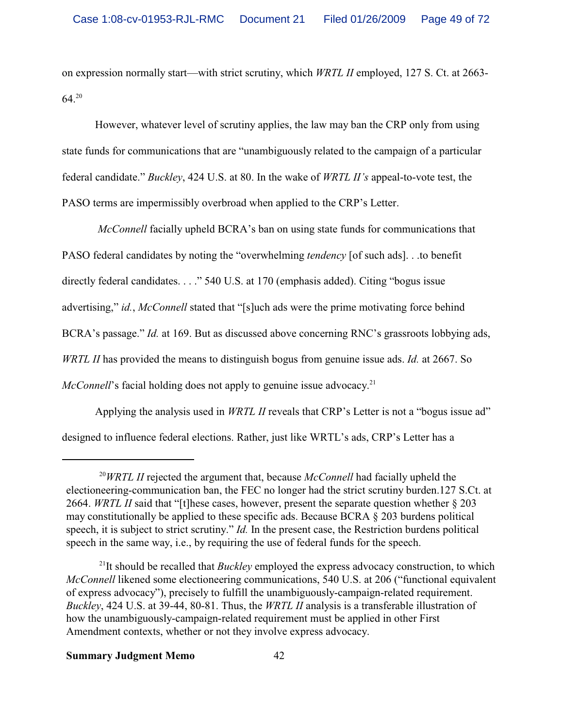on expression normally start—with strict scrutiny, which *WRTL II* employed, 127 S. Ct. at 2663-  $64^{20}$ 

However, whatever level of scrutiny applies, the law may ban the CRP only from using state funds for communications that are "unambiguously related to the campaign of a particular federal candidate." *Buckley*, 424 U.S. at 80. In the wake of *WRTL II's* appeal-to-vote test, the PASO terms are impermissibly overbroad when applied to the CRP's Letter.

*McConnell* facially upheld BCRA's ban on using state funds for communications that PASO federal candidates by noting the "overwhelming *tendency* [of such ads]. . .to benefit directly federal candidates. . . ." 540 U.S. at 170 (emphasis added). Citing "bogus issue advertising," *id.*, *McConnell* stated that "[s]uch ads were the prime motivating force behind BCRA's passage." *Id.* at 169. But as discussed above concerning RNC's grassroots lobbying ads, *WRTL II* has provided the means to distinguish bogus from genuine issue ads. *Id.* at 2667. So McConnell's facial holding does not apply to genuine issue advocacy.<sup>21</sup>

Applying the analysis used in *WRTL II* reveals that CRP's Letter is not a "bogus issue ad" designed to influence federal elections. Rather, just like WRTL's ads, CRP's Letter has a

<sup>20</sup>*WRTL II* rejected the argument that, because *McConnell* had facially upheld the electioneering-communication ban, the FEC no longer had the strict scrutiny burden.127 S.Ct. at 2664. *WRTL II* said that "[t]hese cases, however, present the separate question whether § 203 may constitutionally be applied to these specific ads. Because BCRA § 203 burdens political speech, it is subject to strict scrutiny." *Id.* In the present case, the Restriction burdens political speech in the same way, i.e., by requiring the use of federal funds for the speech.

<sup>&</sup>lt;sup>21</sup>It should be recalled that *Buckley* employed the express advocacy construction, to which *McConnell* likened some electioneering communications, 540 U.S. at 206 ("functional equivalent of express advocacy"), precisely to fulfill the unambiguously-campaign-related requirement. *Buckley*, 424 U.S. at 39-44, 80-81. Thus, the *WRTL II* analysis is a transferable illustration of how the unambiguously-campaign-related requirement must be applied in other First Amendment contexts, whether or not they involve express advocacy.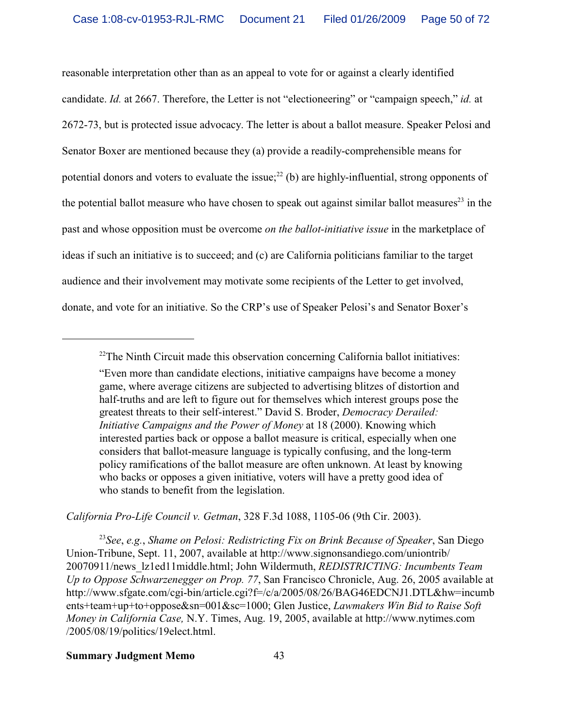reasonable interpretation other than as an appeal to vote for or against a clearly identified candidate. *Id.* at 2667. Therefore, the Letter is not "electioneering" or "campaign speech," *id.* at 2672-73, but is protected issue advocacy. The letter is about a ballot measure. Speaker Pelosi and Senator Boxer are mentioned because they (a) provide a readily-comprehensible means for potential donors and voters to evaluate the issue; $2^{2}$  (b) are highly-influential, strong opponents of the potential ballot measure who have chosen to speak out against similar ballot measures<sup>23</sup> in the past and whose opposition must be overcome *on the ballot-initiative issue* in the marketplace of ideas if such an initiative is to succeed; and (c) are California politicians familiar to the target audience and their involvement may motivate some recipients of the Letter to get involved, donate, and vote for an initiative. So the CRP's use of Speaker Pelosi's and Senator Boxer's

*California Pro-Life Council v. Getman*, 328 F.3d 1088, 1105-06 (9th Cir. 2003).

23 *See*, *e.g.*, *Shame on Pelosi: Redistricting Fix on Brink Because of Speaker*, San Diego Union-Tribune, Sept. 11, 2007, available at http://www.signonsandiego.com/uniontrib/ 20070911/news\_lz1ed11middle.html; John Wildermuth, *REDISTRICTING: Incumbents Team Up to Oppose Schwarzenegger on Prop. 77*, San Francisco Chronicle, Aug. 26, 2005 available at http://www.sfgate.com/cgi-bin/article.cgi?f=/c/a/2005/08/26/BAG46EDCNJ1.DTL&hw=incumb ents+team+up+to+oppose&sn=001&sc=1000; Glen Justice, *Lawmakers Win Bid to Raise Soft Money in California Case,* N.Y. Times, Aug. 19, 2005, available at http://www.nytimes.com /2005/08/19/politics/19elect.html.

 $22$ <sup>22</sup>The Ninth Circuit made this observation concerning California ballot initiatives:

<sup>&</sup>quot;Even more than candidate elections, initiative campaigns have become a money game, where average citizens are subjected to advertising blitzes of distortion and half-truths and are left to figure out for themselves which interest groups pose the greatest threats to their self-interest." David S. Broder, *Democracy Derailed: Initiative Campaigns and the Power of Money* at 18 (2000). Knowing which interested parties back or oppose a ballot measure is critical, especially when one considers that ballot-measure language is typically confusing, and the long-term policy ramifications of the ballot measure are often unknown. At least by knowing who backs or opposes a given initiative, voters will have a pretty good idea of who stands to benefit from the legislation.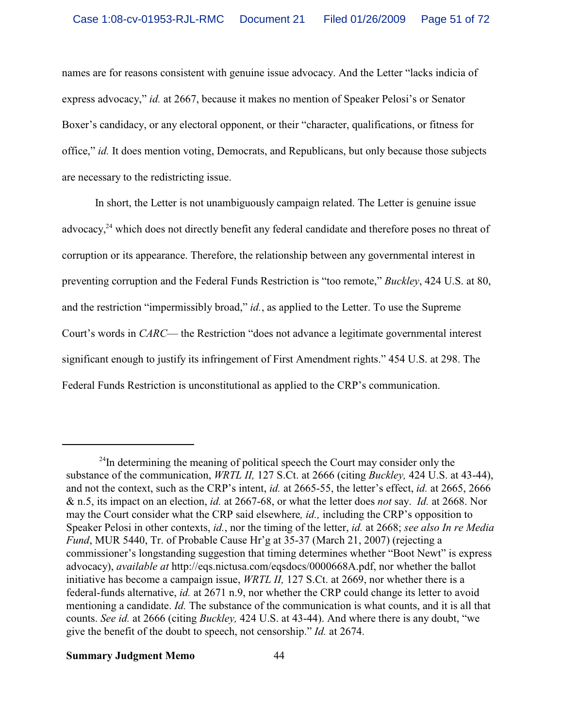names are for reasons consistent with genuine issue advocacy. And the Letter "lacks indicia of express advocacy," *id.* at 2667, because it makes no mention of Speaker Pelosi's or Senator Boxer's candidacy, or any electoral opponent, or their "character, qualifications, or fitness for office," *id.* It does mention voting, Democrats, and Republicans, but only because those subjects are necessary to the redistricting issue.

In short, the Letter is not unambiguously campaign related. The Letter is genuine issue advocacy,<sup>24</sup> which does not directly benefit any federal candidate and therefore poses no threat of corruption or its appearance. Therefore, the relationship between any governmental interest in preventing corruption and the Federal Funds Restriction is "too remote," *Buckley*, 424 U.S. at 80, and the restriction "impermissibly broad," *id.*, as applied to the Letter. To use the Supreme Court's words in *CARC*— the Restriction "does not advance a legitimate governmental interest significant enough to justify its infringement of First Amendment rights." 454 U.S. at 298. The Federal Funds Restriction is unconstitutional as applied to the CRP's communication.

<sup>&</sup>lt;sup>24</sup>In determining the meaning of political speech the Court may consider only the substance of the communication, *WRTL II,* 127 S.Ct. at 2666 (citing *Buckley,* 424 U.S. at 43-44), and not the context, such as the CRP's intent, *id.* at 2665-55, the letter's effect, *id.* at 2665, 2666 & n.5, its impact on an election, *id.* at 2667-68, or what the letter does *not* say. *Id.* at 2668. Nor may the Court consider what the CRP said elsewhere*, id.,* including the CRP's opposition to Speaker Pelosi in other contexts, *id.*, nor the timing of the letter, *id.* at 2668; *see also In re Media Fund*, MUR 5440, Tr. of Probable Cause Hr'g at 35-37 (March 21, 2007) (rejecting a commissioner's longstanding suggestion that timing determines whether "Boot Newt" is express advocacy), *available at* http://eqs.nictusa.com/eqsdocs/0000668A.pdf, nor whether the ballot initiative has become a campaign issue, *WRTL II,* 127 S.Ct. at 2669, nor whether there is a federal-funds alternative, *id.* at 2671 n.9, nor whether the CRP could change its letter to avoid mentioning a candidate. *Id.* The substance of the communication is what counts, and it is all that counts. *See id.* at 2666 (citing *Buckley,* 424 U.S. at 43-44). And where there is any doubt, "we give the benefit of the doubt to speech, not censorship." *Id.* at 2674.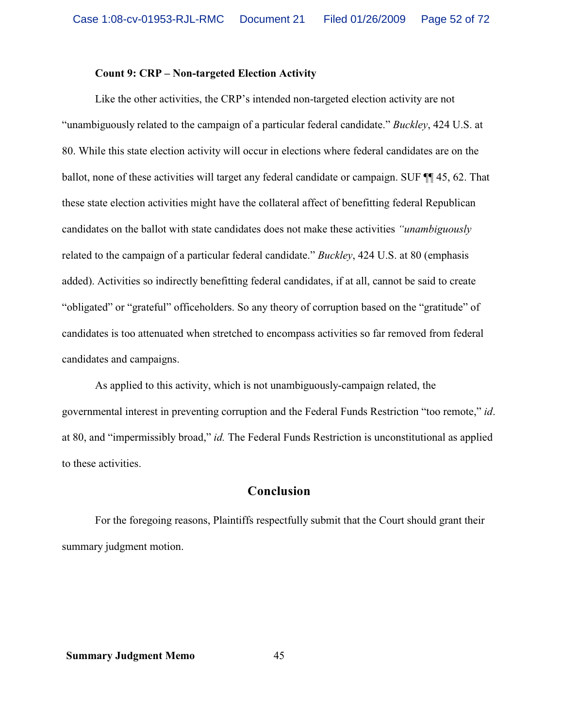#### **Count 9: CRP – Non-targeted Election Activity**

Like the other activities, the CRP's intended non-targeted election activity are not "unambiguously related to the campaign of a particular federal candidate." *Buckley*, 424 U.S. at 80. While this state election activity will occur in elections where federal candidates are on the ballot, none of these activities will target any federal candidate or campaign. SUF  $\P$  45, 62. That these state election activities might have the collateral affect of benefitting federal Republican candidates on the ballot with state candidates does not make these activities *"unambiguously* related to the campaign of a particular federal candidate." *Buckley*, 424 U.S. at 80 (emphasis added). Activities so indirectly benefitting federal candidates, if at all, cannot be said to create "obligated" or "grateful" officeholders. So any theory of corruption based on the "gratitude" of candidates is too attenuated when stretched to encompass activities so far removed from federal candidates and campaigns.

As applied to this activity, which is not unambiguously-campaign related, the governmental interest in preventing corruption and the Federal Funds Restriction "too remote," *id*. at 80, and "impermissibly broad," *id.* The Federal Funds Restriction is unconstitutional as applied to these activities.

# **Conclusion**

For the foregoing reasons, Plaintiffs respectfully submit that the Court should grant their summary judgment motion.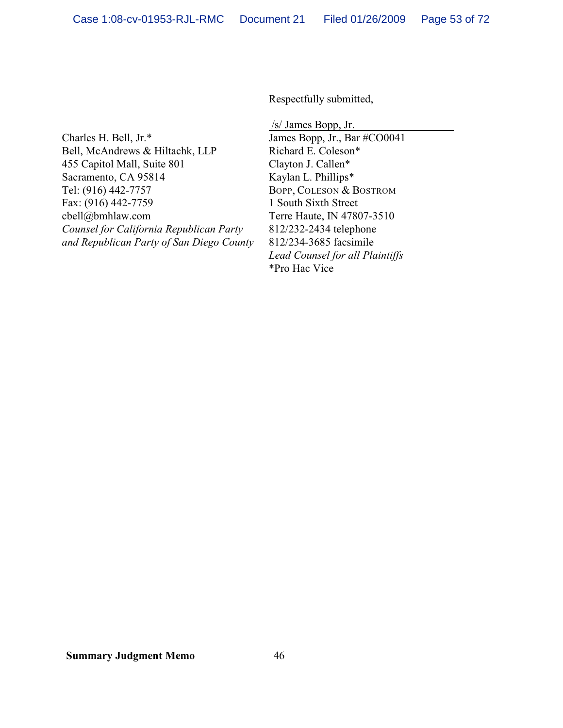Respectfully submitted,

Charles H. Bell, Jr.\* Bell, McAndrews & Hiltachk, LLP 455 Capitol Mall, Suite 801 Sacramento, CA 95814 Tel: (916) 442-7757 Fax: (916) 442-7759 cbell@bmhlaw.com *Counsel for California Republican Party and Republican Party of San Diego County*

 /s/ James Bopp, Jr. James Bopp, Jr., Bar #CO0041 Richard E. Coleson\* Clayton J. Callen\* Kaylan L. Phillips\* BOPP, COLESON & BOSTROM 1 South Sixth Street Terre Haute, IN 47807-3510 812/232-2434 telephone 812/234-3685 facsimile *Lead Counsel for all Plaintiffs* \*Pro Hac Vice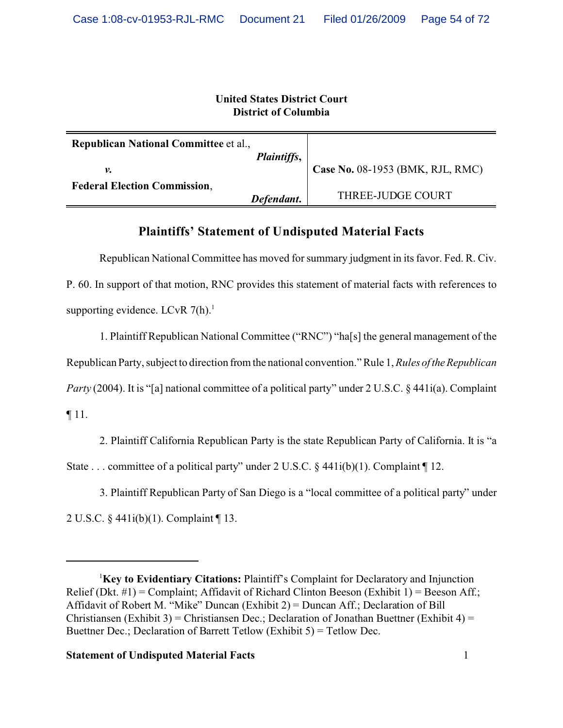# **United States District Court District of Columbia**

| <b>Republican National Committee et al.,</b> |                    |                                  |
|----------------------------------------------|--------------------|----------------------------------|
| ν.                                           | <i>Plaintiffs,</i> | Case No. 08-1953 (BMK, RJL, RMC) |
| <b>Federal Election Commission,</b>          | Defendant.         | THREE-JUDGE COURT                |

# **Plaintiffs' Statement of Undisputed Material Facts**

Republican National Committee has moved for summary judgment in its favor. Fed. R. Civ. P. 60. In support of that motion, RNC provides this statement of material facts with references to supporting evidence. LCvR  $7(h)$ .<sup>1</sup>

1. Plaintiff Republican National Committee ("RNC") "ha[s] the general management of the Republican Party, subject to direction from the national convention." Rule 1, *Rules of the Republican Party* (2004). It is "[a] national committee of a political party" under 2 U.S.C. § 441i(a). Complaint ¶ 11.

2. Plaintiff California Republican Party is the state Republican Party of California. It is "a State . . . committee of a political party" under 2 U.S.C. § 441i(b)(1). Complaint ¶ 12.

3. Plaintiff Republican Party of San Diego is a "local committee of a political party" under 2 U.S.C. § 441i(b)(1). Complaint ¶ 13.

<sup>1</sup>**Key to Evidentiary Citations:** Plaintiff's Complaint for Declaratory and Injunction Relief (Dkt.  $\#1$ ) = Complaint; Affidavit of Richard Clinton Beeson (Exhibit 1) = Beeson Aff.; Affidavit of Robert M. "Mike" Duncan (Exhibit 2) = Duncan Aff.; Declaration of Bill Christiansen (Exhibit 3) = Christiansen Dec.; Declaration of Jonathan Buettner (Exhibit 4) = Buettner Dec.; Declaration of Barrett Tetlow (Exhibit 5) = Tetlow Dec.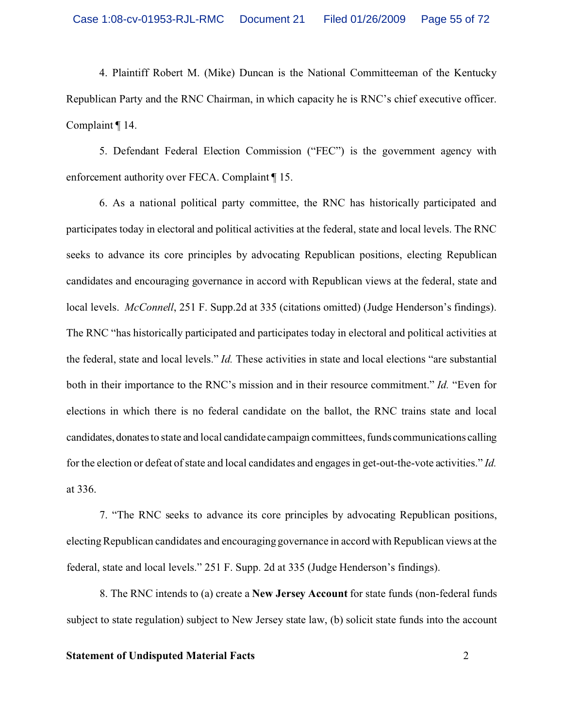4. Plaintiff Robert M. (Mike) Duncan is the National Committeeman of the Kentucky Republican Party and the RNC Chairman, in which capacity he is RNC's chief executive officer. Complaint ¶ 14.

5. Defendant Federal Election Commission ("FEC") is the government agency with enforcement authority over FECA. Complaint ¶ 15.

6. As a national political party committee, the RNC has historically participated and participates today in electoral and political activities at the federal, state and local levels. The RNC seeks to advance its core principles by advocating Republican positions, electing Republican candidates and encouraging governance in accord with Republican views at the federal, state and local levels. *McConnell*, 251 F. Supp.2d at 335 (citations omitted) (Judge Henderson's findings). The RNC "has historically participated and participates today in electoral and political activities at the federal, state and local levels." *Id.* These activities in state and local elections "are substantial both in their importance to the RNC's mission and in their resource commitment." *Id.* "Even for elections in which there is no federal candidate on the ballot, the RNC trains state and local candidates,donates to state and local candidate campaign committees, funds communications calling for the election or defeat of state and local candidates and engages in get-out-the-vote activities." *Id.* at 336.

7. "The RNC seeks to advance its core principles by advocating Republican positions, electing Republican candidates and encouraging governance in accord with Republican views at the federal, state and local levels." 251 F. Supp. 2d at 335 (Judge Henderson's findings).

8. The RNC intends to (a) create a **New Jersey Account** for state funds (non-federal funds subject to state regulation) subject to New Jersey state law, (b) solicit state funds into the account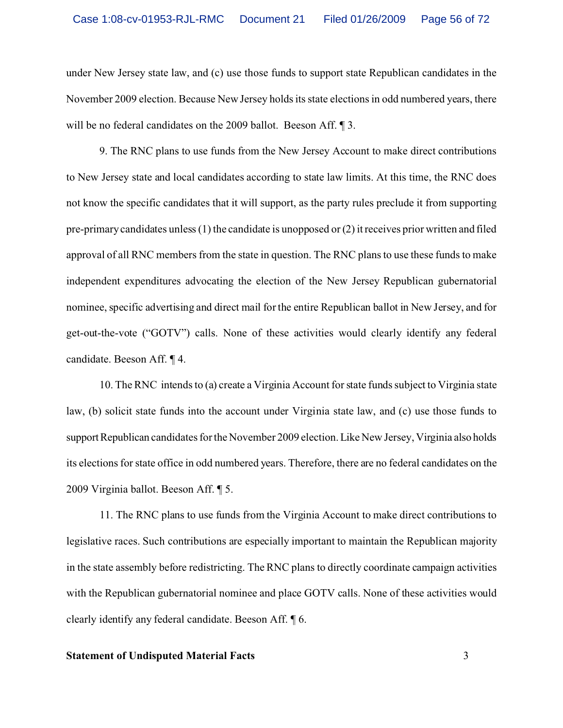under New Jersey state law, and (c) use those funds to support state Republican candidates in the November 2009 election. Because New Jersey holds its state elections in odd numbered years, there will be no federal candidates on the 2009 ballot. Beeson Aff. 1 3.

9. The RNC plans to use funds from the New Jersey Account to make direct contributions to New Jersey state and local candidates according to state law limits. At this time, the RNC does not know the specific candidates that it will support, as the party rules preclude it from supporting pre-primary candidates unless (1) the candidate is unopposed or (2) it receives prior written and filed approval of all RNC members from the state in question. The RNC plans to use these funds to make independent expenditures advocating the election of the New Jersey Republican gubernatorial nominee, specific advertising and direct mail for the entire Republican ballot in New Jersey, and for get-out-the-vote ("GOTV") calls. None of these activities would clearly identify any federal candidate. Beeson Aff. ¶ 4.

10. The RNC intends to (a) create a Virginia Account for state funds subject to Virginia state law, (b) solicit state funds into the account under Virginia state law, and (c) use those funds to support Republican candidates for the November 2009 election. Like New Jersey, Virginia also holds its elections for state office in odd numbered years. Therefore, there are no federal candidates on the 2009 Virginia ballot. Beeson Aff. ¶ 5.

11. The RNC plans to use funds from the Virginia Account to make direct contributions to legislative races. Such contributions are especially important to maintain the Republican majority in the state assembly before redistricting. The RNC plans to directly coordinate campaign activities with the Republican gubernatorial nominee and place GOTV calls. None of these activities would clearly identify any federal candidate. Beeson Aff. ¶ 6.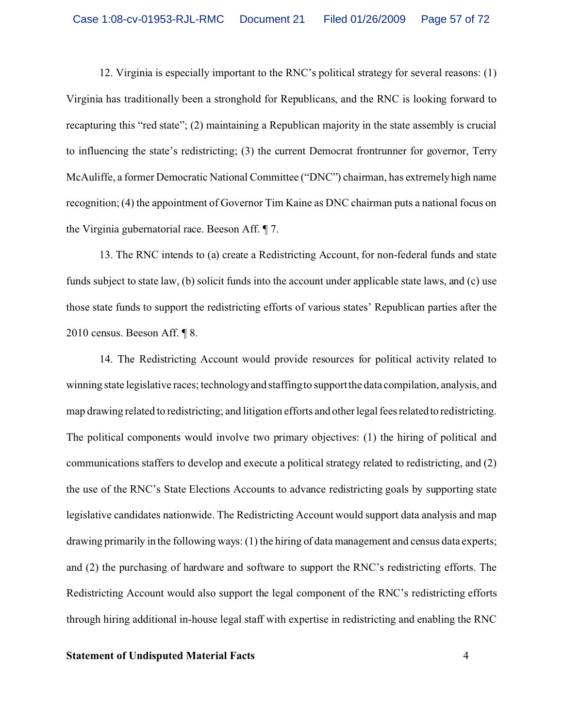12. Virginia is especially important to the RNC's political strategy for several reasons: (1) Virginia has traditionally been a stronghold for Republicans, and the RNC is looking forward to recapturing this "red state"; (2) maintaining a Republican majority in the state assembly is crucial to influencing the state's redistricting; (3) the current Democrat frontrunner for governor, Terry McAuliffe, a former Democratic National Committee ("DNC") chairman, has extremely high name recognition; (4) the appointment of Governor Tim Kaine as DNC chairman puts a national focus on the Virginia gubernatorial race. Beeson Aff. ¶ 7.

13. The RNC intends to (a) create a Redistricting Account, for non-federal funds and state funds subject to state law, (b) solicit funds into the account under applicable state laws, and (c) use those state funds to support the redistricting efforts of various states' Republican parties after the 2010 census. Beeson Aff. ¶ 8.

14. The Redistricting Account would provide resources for political activity related to winning state legislative races; technology and staffing to support the data compilation, analysis, and map drawing related to redistricting; and litigation efforts and other legal fees related to redistricting. The political components would involve two primary objectives: (1) the hiring of political and communications staffers to develop and execute a political strategy related to redistricting, and (2) the use of the RNC's State Elections Accounts to advance redistricting goals by supporting state legislative candidates nationwide. The Redistricting Account would support data analysis and map drawing primarily in the following ways: (1) the hiring of data management and census data experts; and (2) the purchasing of hardware and software to support the RNC's redistricting efforts. The Redistricting Account would also support the legal component of the RNC's redistricting efforts through hiring additional in-house legal staff with expertise in redistricting and enabling the RNC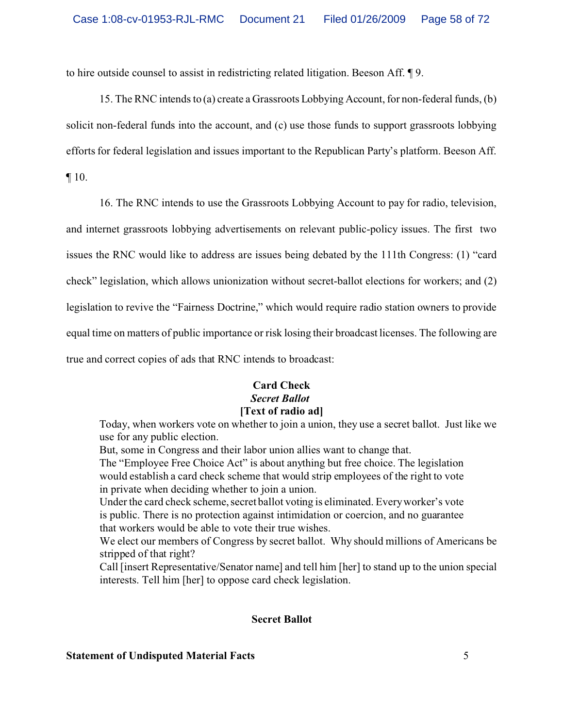to hire outside counsel to assist in redistricting related litigation. Beeson Aff. ¶ 9.

15. The RNC intends to (a) create a Grassroots Lobbying Account, for non-federal funds, (b) solicit non-federal funds into the account, and (c) use those funds to support grassroots lobbying efforts for federal legislation and issues important to the Republican Party's platform. Beeson Aff.

¶ 10.

16. The RNC intends to use the Grassroots Lobbying Account to pay for radio, television, and internet grassroots lobbying advertisements on relevant public-policy issues. The first two issues the RNC would like to address are issues being debated by the 111th Congress: (1) "card check" legislation, which allows unionization without secret-ballot elections for workers; and (2) legislation to revive the "Fairness Doctrine," which would require radio station owners to provide equal time on matters of public importance or risk losing their broadcast licenses. The following are true and correct copies of ads that RNC intends to broadcast:

# **Card Check** *Secret Ballot* **[Text of radio ad]**

Today, when workers vote on whether to join a union, they use a secret ballot. Just like we use for any public election.

But, some in Congress and their labor union allies want to change that.

The "Employee Free Choice Act" is about anything but free choice. The legislation would establish a card check scheme that would strip employees of the right to vote in private when deciding whether to join a union.

Under the card check scheme, secret ballot voting is eliminated. Every worker's vote is public. There is no protection against intimidation or coercion, and no guarantee that workers would be able to vote their true wishes.

We elect our members of Congress by secret ballot. Why should millions of Americans be stripped of that right?

Call [insert Representative/Senator name] and tell him [her] to stand up to the union special interests. Tell him [her] to oppose card check legislation.

# **Secret Ballot**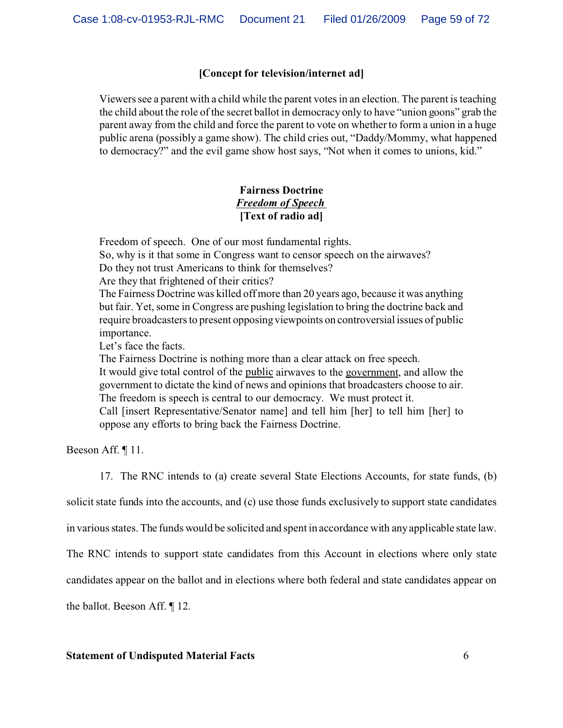# **[Concept for television/internet ad]**

Viewers see a parent with a child while the parent votes in an election. The parent is teaching the child about the role of the secret ballot in democracy only to have "union goons" grab the parent away from the child and force the parent to vote on whether to form a union in a huge public arena (possibly a game show). The child cries out, "Daddy/Mommy, what happened to democracy?" and the evil game show host says, "Not when it comes to unions, kid."

# **Fairness Doctrine** *Freedom of Speech*  **[Text of radio ad]**

Freedom of speech. One of our most fundamental rights. So, why is it that some in Congress want to censor speech on the airwaves? Do they not trust Americans to think for themselves?

Are they that frightened of their critics?

The Fairness Doctrine was killed off more than 20 years ago, because it was anything but fair. Yet, some in Congress are pushing legislation to bring the doctrine back and require broadcasters to present opposing viewpoints on controversial issues of public importance.

Let's face the facts.

The Fairness Doctrine is nothing more than a clear attack on free speech. It would give total control of the public airwaves to the government, and allow the government to dictate the kind of news and opinions that broadcasters choose to air. The freedom is speech is central to our democracy. We must protect it. Call [insert Representative/Senator name] and tell him [her] to tell him [her] to

oppose any efforts to bring back the Fairness Doctrine.

Beeson Aff. ¶ 11.

17. The RNC intends to (a) create several State Elections Accounts, for state funds, (b)

solicit state funds into the accounts, and (c) use those funds exclusively to support state candidates

in various states. The funds would be solicited and spent in accordance with any applicable state law.

The RNC intends to support state candidates from this Account in elections where only state

candidates appear on the ballot and in elections where both federal and state candidates appear on

the ballot. Beeson Aff. ¶ 12.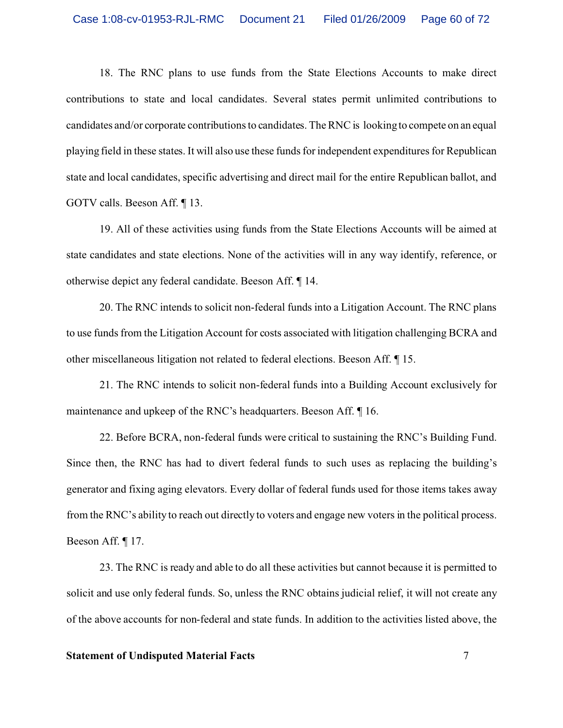18. The RNC plans to use funds from the State Elections Accounts to make direct contributions to state and local candidates. Several states permit unlimited contributions to candidates and/or corporate contributions to candidates. The RNC is looking to compete on an equal playing field in these states. It will also use these funds for independent expenditures for Republican state and local candidates, specific advertising and direct mail for the entire Republican ballot, and GOTV calls. Beeson Aff. ¶ 13.

19. All of these activities using funds from the State Elections Accounts will be aimed at state candidates and state elections. None of the activities will in any way identify, reference, or otherwise depict any federal candidate. Beeson Aff. ¶ 14.

20. The RNC intends to solicit non-federal funds into a Litigation Account. The RNC plans to use funds from the Litigation Account for costs associated with litigation challenging BCRA and other miscellaneous litigation not related to federal elections. Beeson Aff. ¶ 15.

21. The RNC intends to solicit non-federal funds into a Building Account exclusively for maintenance and upkeep of the RNC's headquarters. Beeson Aff. ¶ 16.

22. Before BCRA, non-federal funds were critical to sustaining the RNC's Building Fund. Since then, the RNC has had to divert federal funds to such uses as replacing the building's generator and fixing aging elevators. Every dollar of federal funds used for those items takes away from the RNC's ability to reach out directly to voters and engage new voters in the political process. Beeson Aff. ¶ 17.

23. The RNC is ready and able to do all these activities but cannot because it is permitted to solicit and use only federal funds. So, unless the RNC obtains judicial relief, it will not create any of the above accounts for non-federal and state funds. In addition to the activities listed above, the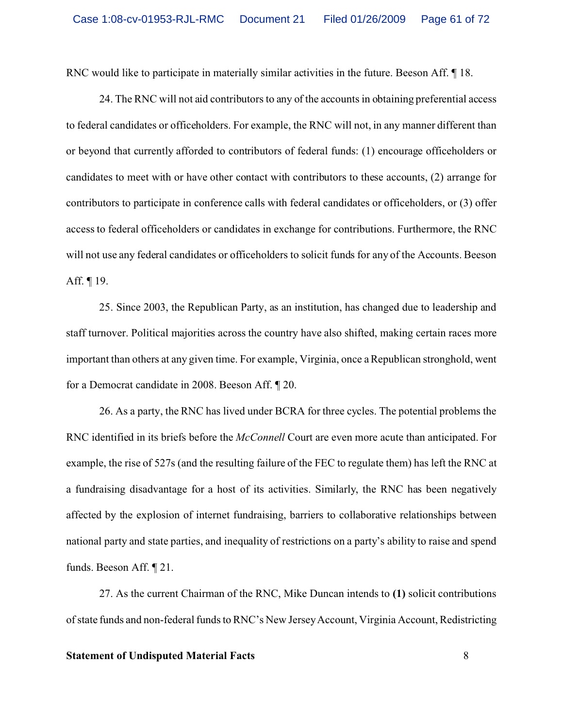RNC would like to participate in materially similar activities in the future. Beeson Aff. ¶ 18.

24. The RNC will not aid contributors to any of the accounts in obtaining preferential access to federal candidates or officeholders. For example, the RNC will not, in any manner different than or beyond that currently afforded to contributors of federal funds: (1) encourage officeholders or candidates to meet with or have other contact with contributors to these accounts, (2) arrange for contributors to participate in conference calls with federal candidates or officeholders, or (3) offer access to federal officeholders or candidates in exchange for contributions. Furthermore, the RNC will not use any federal candidates or officeholders to solicit funds for any of the Accounts. Beeson Aff. ¶ 19.

25. Since 2003, the Republican Party, as an institution, has changed due to leadership and staff turnover. Political majorities across the country have also shifted, making certain races more important than others at any given time. For example, Virginia, once a Republican stronghold, went for a Democrat candidate in 2008. Beeson Aff. ¶ 20.

26. As a party, the RNC has lived under BCRA for three cycles. The potential problems the RNC identified in its briefs before the *McConnell* Court are even more acute than anticipated. For example, the rise of 527s (and the resulting failure of the FEC to regulate them) has left the RNC at a fundraising disadvantage for a host of its activities. Similarly, the RNC has been negatively affected by the explosion of internet fundraising, barriers to collaborative relationships between national party and state parties, and inequality of restrictions on a party's ability to raise and spend funds. Beeson Aff. ¶ 21.

27. As the current Chairman of the RNC, Mike Duncan intends to **(1)** solicit contributions of state funds and non-federal funds to RNC's New Jersey Account, Virginia Account, Redistricting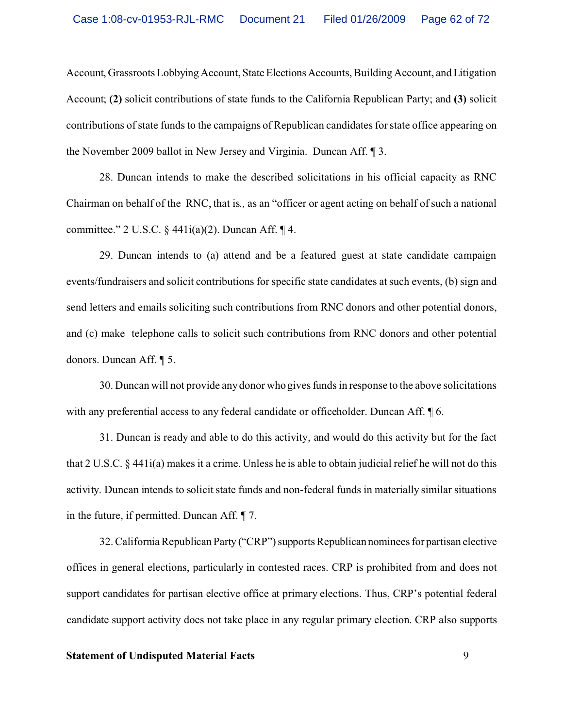Account, Grassroots Lobbying Account, State Elections Accounts, Building Account, and Litigation Account; **(2)** solicit contributions of state funds to the California Republican Party; and **(3)** solicit contributions of state funds to the campaigns of Republican candidates for state office appearing on the November 2009 ballot in New Jersey and Virginia. Duncan Aff. ¶ 3.

28. Duncan intends to make the described solicitations in his official capacity as RNC Chairman on behalf of the RNC, that is*.,* as an "officer or agent acting on behalf of such a national committee." 2 U.S.C.  $\S$  441i(a)(2). Duncan Aff.  $\P$  4.

29. Duncan intends to (a) attend and be a featured guest at state candidate campaign events/fundraisers and solicit contributions for specific state candidates at such events, (b) sign and send letters and emails soliciting such contributions from RNC donors and other potential donors, and (c) make telephone calls to solicit such contributions from RNC donors and other potential donors. Duncan Aff. ¶ 5.

30. Duncan will not provide any donor who gives funds in response to the above solicitations with any preferential access to any federal candidate or officeholder. Duncan Aff.  $\sqrt{\ }$  6.

31. Duncan is ready and able to do this activity, and would do this activity but for the fact that 2 U.S.C. § 441i(a) makes it a crime. Unless he is able to obtain judicial relief he will not do this activity. Duncan intends to solicit state funds and non-federal funds in materially similar situations in the future, if permitted. Duncan Aff. ¶ 7.

32. California Republican Party ("CRP") supports Republican nominees for partisan elective offices in general elections, particularly in contested races. CRP is prohibited from and does not support candidates for partisan elective office at primary elections. Thus, CRP's potential federal candidate support activity does not take place in any regular primary election. CRP also supports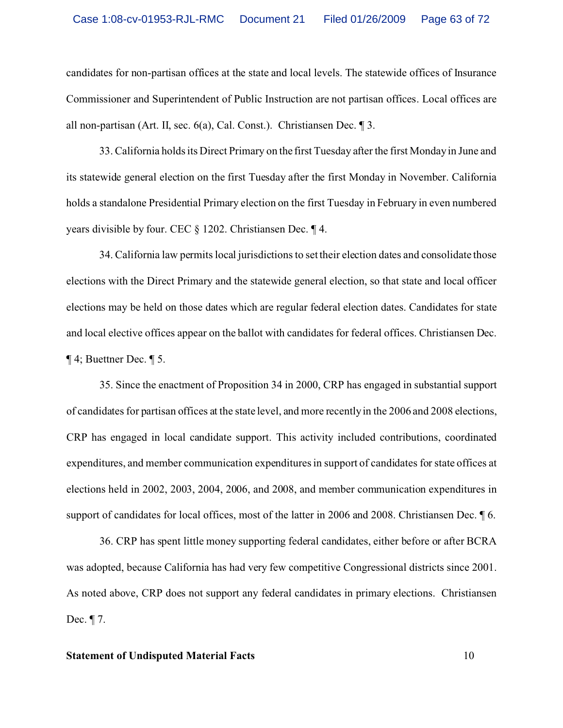candidates for non-partisan offices at the state and local levels. The statewide offices of Insurance Commissioner and Superintendent of Public Instruction are not partisan offices. Local offices are all non-partisan (Art. II, sec. 6(a), Cal. Const.). Christiansen Dec. ¶ 3.

33. California holds its Direct Primary on the first Tuesday after the first Monday in June and its statewide general election on the first Tuesday after the first Monday in November. California holds a standalone Presidential Primary election on the first Tuesday in February in even numbered years divisible by four. CEC § 1202. Christiansen Dec. ¶ 4.

34. California law permits local jurisdictions to set their election dates and consolidate those elections with the Direct Primary and the statewide general election, so that state and local officer elections may be held on those dates which are regular federal election dates. Candidates for state and local elective offices appear on the ballot with candidates for federal offices. Christiansen Dec. ¶ 4; Buettner Dec. ¶ 5.

35. Since the enactment of Proposition 34 in 2000, CRP has engaged in substantial support of candidates for partisan offices at the state level, and more recently in the 2006 and 2008 elections, CRP has engaged in local candidate support. This activity included contributions, coordinated expenditures, and member communication expenditures in support of candidates for state offices at elections held in 2002, 2003, 2004, 2006, and 2008, and member communication expenditures in support of candidates for local offices, most of the latter in 2006 and 2008. Christiansen Dec.  $\sqrt{\ }$  6.

36. CRP has spent little money supporting federal candidates, either before or after BCRA was adopted, because California has had very few competitive Congressional districts since 2001. As noted above, CRP does not support any federal candidates in primary elections. Christiansen Dec. ¶ 7.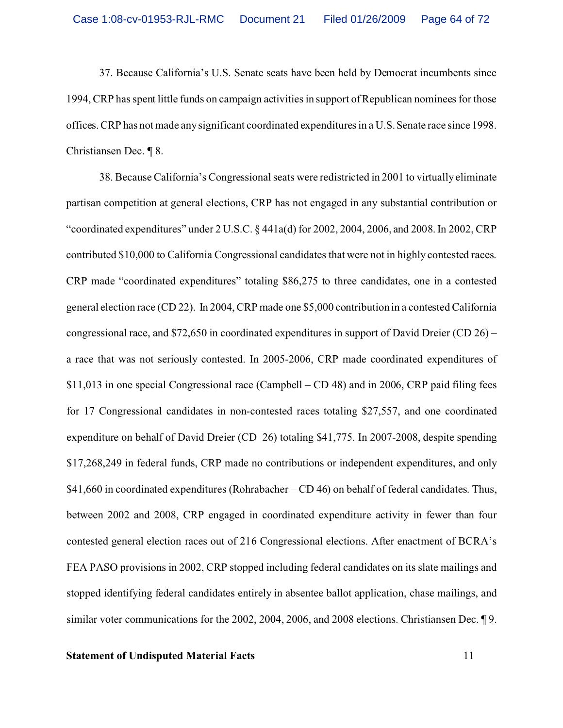37. Because California's U.S. Senate seats have been held by Democrat incumbents since 1994, CRP has spent little funds on campaign activities in support of Republican nominees for those offices. CRP has not made any significant coordinated expenditures in a U.S. Senate race since 1998. Christiansen Dec. ¶ 8.

38. Because California's Congressional seats were redistricted in 2001 to virtually eliminate partisan competition at general elections, CRP has not engaged in any substantial contribution or "coordinated expenditures" under 2 U.S.C. § 441a(d) for 2002, 2004, 2006, and 2008. In 2002, CRP contributed \$10,000 to California Congressional candidates that were not in highly contested races. CRP made "coordinated expenditures" totaling \$86,275 to three candidates, one in a contested general election race (CD 22). In 2004, CRP made one \$5,000 contribution in a contested California congressional race, and \$72,650 in coordinated expenditures in support of David Dreier (CD 26) – a race that was not seriously contested. In 2005-2006, CRP made coordinated expenditures of \$11,013 in one special Congressional race (Campbell – CD 48) and in 2006, CRP paid filing fees for 17 Congressional candidates in non-contested races totaling \$27,557, and one coordinated expenditure on behalf of David Dreier (CD 26) totaling \$41,775. In 2007-2008, despite spending \$17,268,249 in federal funds, CRP made no contributions or independent expenditures, and only \$41,660 in coordinated expenditures (Rohrabacher – CD 46) on behalf of federal candidates. Thus, between 2002 and 2008, CRP engaged in coordinated expenditure activity in fewer than four contested general election races out of 216 Congressional elections. After enactment of BCRA's FEA PASO provisions in 2002, CRP stopped including federal candidates on its slate mailings and stopped identifying federal candidates entirely in absentee ballot application, chase mailings, and similar voter communications for the 2002, 2004, 2006, and 2008 elections. Christiansen Dec. ¶ 9.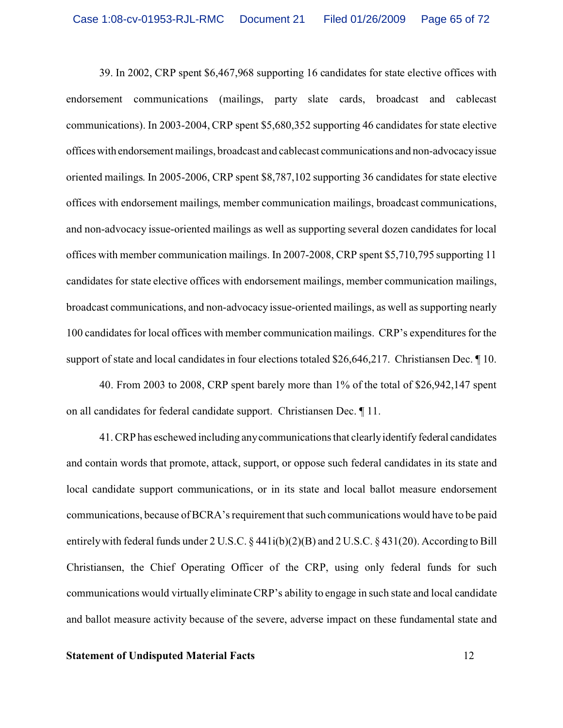39. In 2002, CRP spent \$6,467,968 supporting 16 candidates for state elective offices with endorsement communications (mailings, party slate cards, broadcast and cablecast communications). In 2003-2004, CRP spent \$5,680,352 supporting 46 candidates for state elective officeswith endorsement mailings, broadcast and cablecast communications and non-advocacyissue oriented mailings. In 2005-2006, CRP spent \$8,787,102 supporting 36 candidates for state elective offices with endorsement mailings, member communication mailings, broadcast communications, and non-advocacy issue-oriented mailings as well as supporting several dozen candidates for local offices with member communication mailings. In 2007-2008, CRP spent \$5,710,795 supporting 11 candidates for state elective offices with endorsement mailings, member communication mailings, broadcast communications, and non-advocacy issue-oriented mailings, as well as supporting nearly 100 candidates for local offices with member communication mailings. CRP's expenditures for the support of state and local candidates in four elections totaled \$26,646,217. Christiansen Dec.  $\llbracket$  10.

40. From 2003 to 2008, CRP spent barely more than 1% of the total of \$26,942,147 spent on all candidates for federal candidate support. Christiansen Dec. ¶ 11.

41. CRP has eschewed including any communications that clearly identify federal candidates and contain words that promote, attack, support, or oppose such federal candidates in its state and local candidate support communications, or in its state and local ballot measure endorsement communications, because of BCRA's requirement that such communications would have to be paid entirely with federal funds under 2 U.S.C. § 441i(b)(2)(B) and 2 U.S.C. § 431(20). According to Bill Christiansen, the Chief Operating Officer of the CRP, using only federal funds for such communications would virtually eliminate CRP's ability to engage in such state and local candidate and ballot measure activity because of the severe, adverse impact on these fundamental state and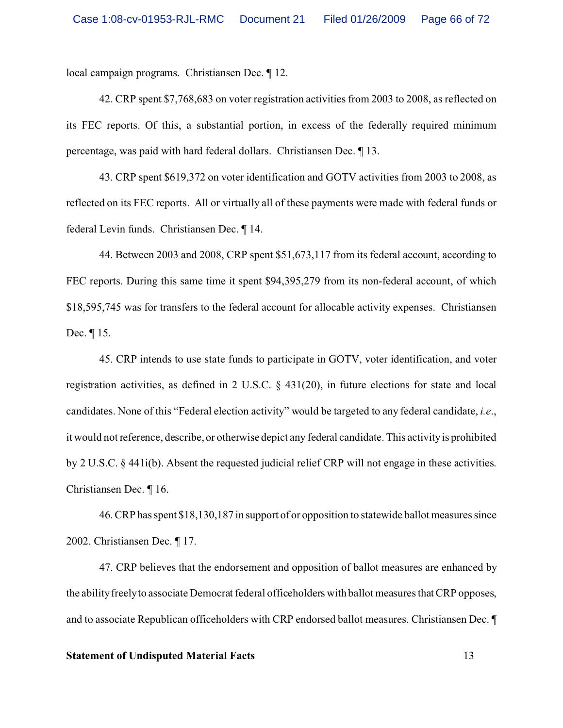local campaign programs. Christiansen Dec. ¶ 12.

42. CRP spent \$7,768,683 on voter registration activities from 2003 to 2008, as reflected on its FEC reports. Of this, a substantial portion, in excess of the federally required minimum percentage, was paid with hard federal dollars. Christiansen Dec. ¶ 13.

43. CRP spent \$619,372 on voter identification and GOTV activities from 2003 to 2008, as reflected on its FEC reports. All or virtually all of these payments were made with federal funds or federal Levin funds. Christiansen Dec. ¶ 14.

44. Between 2003 and 2008, CRP spent \$51,673,117 from its federal account, according to FEC reports. During this same time it spent \$94,395,279 from its non-federal account, of which \$18,595,745 was for transfers to the federal account for allocable activity expenses. Christiansen Dec. ¶ 15.

45. CRP intends to use state funds to participate in GOTV, voter identification, and voter registration activities, as defined in 2 U.S.C. § 431(20), in future elections for state and local candidates. None of this "Federal election activity" would be targeted to any federal candidate, *i.e*., it would not reference, describe, or otherwise depict any federal candidate. This activity is prohibited by 2 U.S.C. § 441i(b). Absent the requested judicial relief CRP will not engage in these activities. Christiansen Dec. ¶ 16.

46. CRP has spent \$18,130,187 in support of or opposition to statewide ballot measures since 2002. Christiansen Dec. ¶ 17.

47. CRP believes that the endorsement and opposition of ballot measures are enhanced by the ability freely to associate Democrat federal officeholders with ballot measures that CRP opposes, and to associate Republican officeholders with CRP endorsed ballot measures. Christiansen Dec. ¶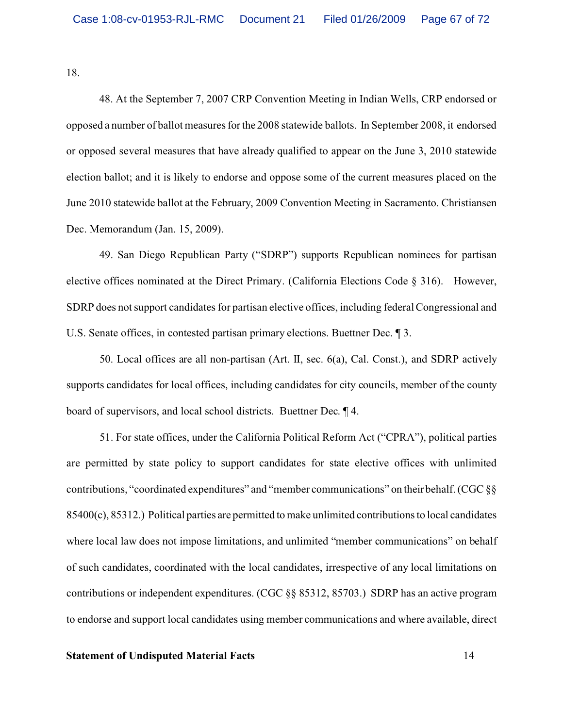18.

48. At the September 7, 2007 CRP Convention Meeting in Indian Wells, CRP endorsed or opposed a number of ballot measures for the 2008 statewide ballots. In September 2008, it endorsed or opposed several measures that have already qualified to appear on the June 3, 2010 statewide election ballot; and it is likely to endorse and oppose some of the current measures placed on the June 2010 statewide ballot at the February, 2009 Convention Meeting in Sacramento. Christiansen Dec. Memorandum (Jan. 15, 2009).

49. San Diego Republican Party ("SDRP") supports Republican nominees for partisan elective offices nominated at the Direct Primary. (California Elections Code § 316). However, SDRP does not support candidates for partisan elective offices, including federal Congressional and U.S. Senate offices, in contested partisan primary elections. Buettner Dec. ¶ 3.

50. Local offices are all non-partisan (Art. II, sec. 6(a), Cal. Const.), and SDRP actively supports candidates for local offices, including candidates for city councils, member of the county board of supervisors, and local school districts. Buettner Dec. ¶ 4.

51. For state offices, under the California Political Reform Act ("CPRA"), political parties are permitted by state policy to support candidates for state elective offices with unlimited contributions, "coordinated expenditures" and "member communications" on their behalf. (CGC §§ 85400(c), 85312.) Political parties are permitted to make unlimited contributions to local candidates where local law does not impose limitations, and unlimited "member communications" on behalf of such candidates, coordinated with the local candidates, irrespective of any local limitations on contributions or independent expenditures. (CGC §§ 85312, 85703.) SDRP has an active program to endorse and support local candidates using member communications and where available, direct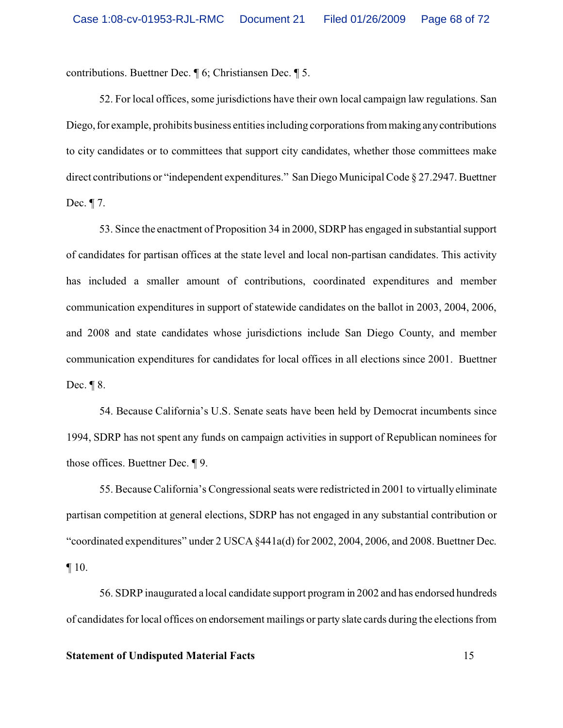contributions. Buettner Dec. ¶ 6; Christiansen Dec. ¶ 5.

52. For local offices, some jurisdictions have their own local campaign law regulations. San Diego, for example, prohibits business entities including corporations from making any contributions to city candidates or to committees that support city candidates, whether those committees make direct contributions or "independent expenditures." San Diego Municipal Code § 27.2947. Buettner Dec. ¶ 7.

53. Since the enactment of Proposition 34 in 2000, SDRP has engaged in substantial support of candidates for partisan offices at the state level and local non-partisan candidates. This activity has included a smaller amount of contributions, coordinated expenditures and member communication expenditures in support of statewide candidates on the ballot in 2003, 2004, 2006, and 2008 and state candidates whose jurisdictions include San Diego County, and member communication expenditures for candidates for local offices in all elections since 2001. Buettner Dec. ¶ 8.

54. Because California's U.S. Senate seats have been held by Democrat incumbents since 1994, SDRP has not spent any funds on campaign activities in support of Republican nominees for those offices. Buettner Dec. ¶ 9.

55. Because California's Congressional seats were redistricted in 2001 to virtually eliminate partisan competition at general elections, SDRP has not engaged in any substantial contribution or "coordinated expenditures" under 2 USCA §441a(d) for 2002, 2004, 2006, and 2008. Buettner Dec. ¶ 10.

56. SDRP inaugurated a local candidate support program in 2002 and has endorsed hundreds of candidates for local offices on endorsement mailings or party slate cards during the elections from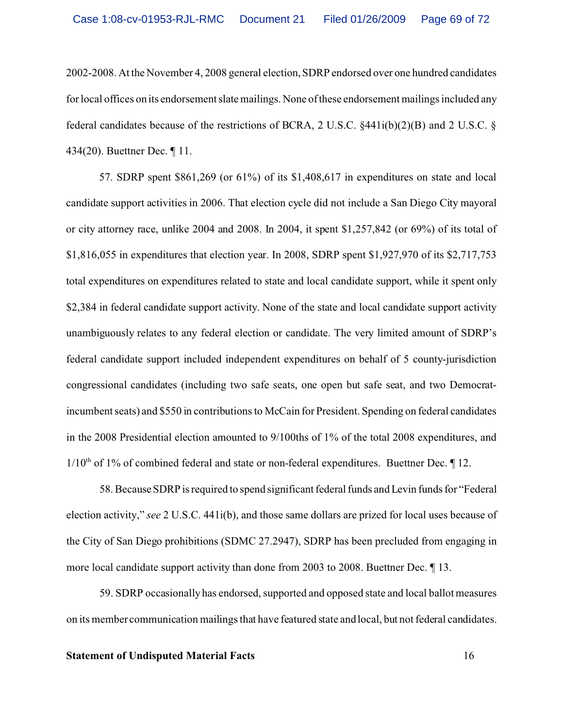2002-2008. At the November 4, 2008 general election, SDRP endorsed over one hundred candidates for local offices on its endorsement slate mailings. None of these endorsement mailings included any federal candidates because of the restrictions of BCRA, 2 U.S.C.  $\S$ 441i(b)(2)(B) and 2 U.S.C.  $\S$ 434(20). Buettner Dec. ¶ 11.

57. SDRP spent \$861,269 (or 61%) of its \$1,408,617 in expenditures on state and local candidate support activities in 2006. That election cycle did not include a San Diego City mayoral or city attorney race, unlike 2004 and 2008. In 2004, it spent \$1,257,842 (or 69%) of its total of \$1,816,055 in expenditures that election year. In 2008, SDRP spent \$1,927,970 of its \$2,717,753 total expenditures on expenditures related to state and local candidate support, while it spent only \$2,384 in federal candidate support activity. None of the state and local candidate support activity unambiguously relates to any federal election or candidate. The very limited amount of SDRP's federal candidate support included independent expenditures on behalf of 5 county-jurisdiction congressional candidates (including two safe seats, one open but safe seat, and two Democratincumbent seats) and \$550 in contributions to McCain for President. Spending on federal candidates in the 2008 Presidential election amounted to 9/100ths of 1% of the total 2008 expenditures, and  $1/10<sup>th</sup>$  of 1% of combined federal and state or non-federal expenditures. Buettner Dec.  $\P$  12.

58. Because SDRP is required to spend significant federal funds and Levin funds for "Federal election activity," *see* 2 U.S.C. 441i(b), and those same dollars are prized for local uses because of the City of San Diego prohibitions (SDMC 27.2947), SDRP has been precluded from engaging in more local candidate support activity than done from 2003 to 2008. Buettner Dec. ¶ 13.

59. SDRP occasionally has endorsed, supported and opposed state and local ballot measures on its member communication mailings that have featured state and local, but not federal candidates.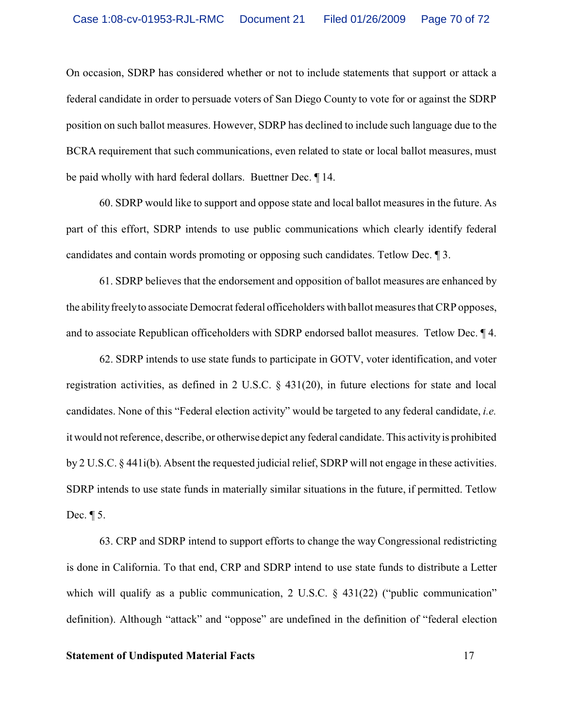On occasion, SDRP has considered whether or not to include statements that support or attack a federal candidate in order to persuade voters of San Diego County to vote for or against the SDRP position on such ballot measures. However, SDRP has declined to include such language due to the BCRA requirement that such communications, even related to state or local ballot measures, must be paid wholly with hard federal dollars. Buettner Dec. ¶ 14.

60. SDRP would like to support and oppose state and local ballot measures in the future. As part of this effort, SDRP intends to use public communications which clearly identify federal candidates and contain words promoting or opposing such candidates. Tetlow Dec. ¶ 3.

61. SDRP believes that the endorsement and opposition of ballot measures are enhanced by the ability freely to associate Democrat federal officeholders with ballot measures that CRP opposes, and to associate Republican officeholders with SDRP endorsed ballot measures. Tetlow Dec. ¶ 4.

62. SDRP intends to use state funds to participate in GOTV, voter identification, and voter registration activities, as defined in 2 U.S.C. § 431(20), in future elections for state and local candidates. None of this "Federal election activity" would be targeted to any federal candidate, *i.e.* it would not reference, describe, or otherwise depict any federal candidate. This activity is prohibited by 2 U.S.C. § 441i(b). Absent the requested judicial relief, SDRP will not engage in these activities. SDRP intends to use state funds in materially similar situations in the future, if permitted. Tetlow Dec. ¶ 5.

63. CRP and SDRP intend to support efforts to change the way Congressional redistricting is done in California. To that end, CRP and SDRP intend to use state funds to distribute a Letter which will qualify as a public communication, 2 U.S.C. § 431(22) ("public communication" definition). Although "attack" and "oppose" are undefined in the definition of "federal election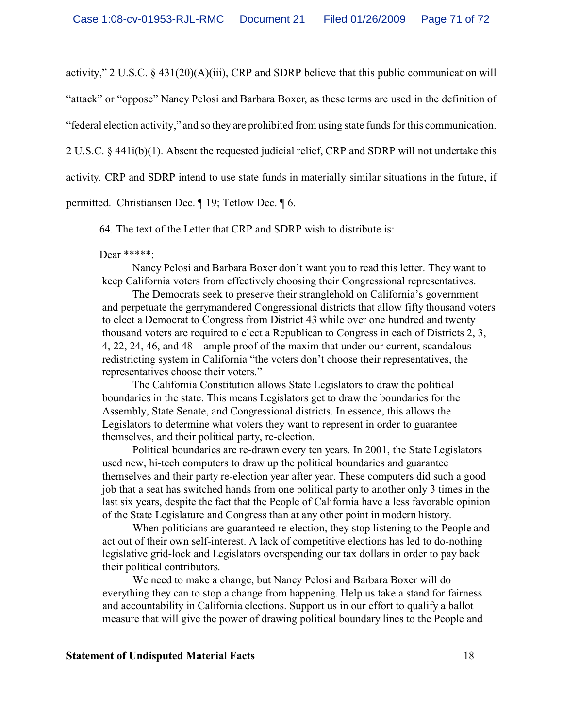activity," 2 U.S.C. § 431(20)(A)(iii), CRP and SDRP believe that this public communication will

"attack" or "oppose" Nancy Pelosi and Barbara Boxer, as these terms are used in the definition of

"federal election activity," and so they are prohibited from using state funds for this communication.

2 U.S.C. § 441i(b)(1). Absent the requested judicial relief, CRP and SDRP will not undertake this

activity. CRP and SDRP intend to use state funds in materially similar situations in the future, if

permitted. Christiansen Dec. ¶ 19; Tetlow Dec. ¶ 6.

64. The text of the Letter that CRP and SDRP wish to distribute is:

#### Dear \*\*\*\*\*:

Nancy Pelosi and Barbara Boxer don't want you to read this letter. They want to keep California voters from effectively choosing their Congressional representatives.

 The Democrats seek to preserve their stranglehold on California's government and perpetuate the gerrymandered Congressional districts that allow fifty thousand voters to elect a Democrat to Congress from District 43 while over one hundred and twenty thousand voters are required to elect a Republican to Congress in each of Districts 2, 3, 4, 22, 24, 46, and 48 – ample proof of the maxim that under our current, scandalous redistricting system in California "the voters don't choose their representatives, the representatives choose their voters."

 The California Constitution allows State Legislators to draw the political boundaries in the state. This means Legislators get to draw the boundaries for the Assembly, State Senate, and Congressional districts. In essence, this allows the Legislators to determine what voters they want to represent in order to guarantee themselves, and their political party, re-election.

 Political boundaries are re-drawn every ten years. In 2001, the State Legislators used new, hi-tech computers to draw up the political boundaries and guarantee themselves and their party re-election year after year. These computers did such a good job that a seat has switched hands from one political party to another only 3 times in the last six years, despite the fact that the People of California have a less favorable opinion of the State Legislature and Congress than at any other point in modern history.

 When politicians are guaranteed re-election, they stop listening to the People and act out of their own self-interest. A lack of competitive elections has led to do-nothing legislative grid-lock and Legislators overspending our tax dollars in order to pay back their political contributors.

We need to make a change, but Nancy Pelosi and Barbara Boxer will do everything they can to stop a change from happening. Help us take a stand for fairness and accountability in California elections. Support us in our effort to qualify a ballot measure that will give the power of drawing political boundary lines to the People and